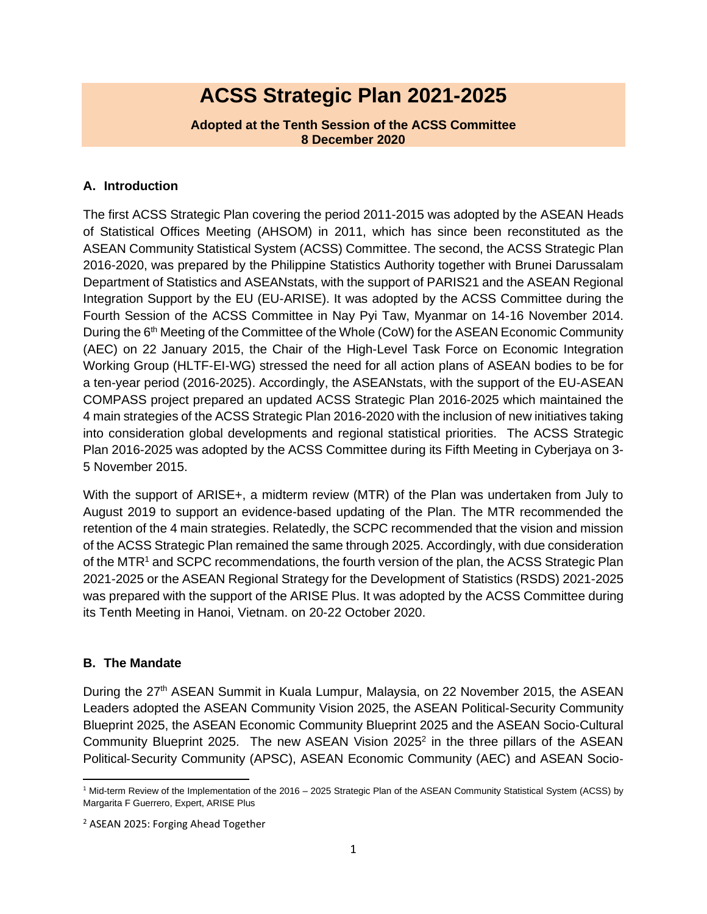# **ACSS Strategic Plan 2021-2025**

#### **Adopted at the Tenth Session of the ACSS Committee 8 December 2020**

## **A. Introduction**

The first ACSS Strategic Plan covering the period 2011-2015 was adopted by the ASEAN Heads of Statistical Offices Meeting (AHSOM) in 2011, which has since been reconstituted as the ASEAN Community Statistical System (ACSS) Committee. The second, the ACSS Strategic Plan 2016-2020, was prepared by the Philippine Statistics Authority together with Brunei Darussalam Department of Statistics and ASEANstats, with the support of PARIS21 and the ASEAN Regional Integration Support by the EU (EU-ARISE). It was adopted by the ACSS Committee during the Fourth Session of the ACSS Committee in Nay Pyi Taw, Myanmar on 14-16 November 2014. During the 6<sup>th</sup> Meeting of the Committee of the Whole (CoW) for the ASEAN Economic Community (AEC) on 22 January 2015, the Chair of the High-Level Task Force on Economic Integration Working Group (HLTF-EI-WG) stressed the need for all action plans of ASEAN bodies to be for a ten-year period (2016-2025). Accordingly, the ASEANstats, with the support of the EU-ASEAN COMPASS project prepared an updated ACSS Strategic Plan 2016-2025 which maintained the 4 main strategies of the ACSS Strategic Plan 2016-2020 with the inclusion of new initiatives taking into consideration global developments and regional statistical priorities. The ACSS Strategic Plan 2016-2025 was adopted by the ACSS Committee during its Fifth Meeting in Cyberjaya on 3- 5 November 2015.

With the support of ARISE+, a midterm review (MTR) of the Plan was undertaken from July to August 2019 to support an evidence-based updating of the Plan. The MTR recommended the retention of the 4 main strategies. Relatedly, the SCPC recommended that the vision and mission of the ACSS Strategic Plan remained the same through 2025. Accordingly, with due consideration of the MTR<sup>1</sup> and SCPC recommendations, the fourth version of the plan, the ACSS Strategic Plan 2021-2025 or the ASEAN Regional Strategy for the Development of Statistics (RSDS) 2021-2025 was prepared with the support of the ARISE Plus. It was adopted by the ACSS Committee during its Tenth Meeting in Hanoi, Vietnam. on 20-22 October 2020.

## **B. The Mandate**

During the 27<sup>th</sup> ASEAN Summit in Kuala Lumpur, Malaysia, on 22 November 2015, the ASEAN Leaders adopted the ASEAN Community Vision 2025, the ASEAN Political-Security Community Blueprint 2025, the ASEAN Economic Community Blueprint 2025 and the ASEAN Socio-Cultural Community Blueprint 2025. The new ASEAN Vision 2025<sup>2</sup> in the three pillars of the ASEAN Political‐Security Community (APSC), ASEAN Economic Community (AEC) and ASEAN Socio‐

<sup>&</sup>lt;sup>1</sup> Mid-term Review of the Implementation of the 2016 - 2025 Strategic Plan of the ASEAN Community Statistical System (ACSS) by Margarita F Guerrero, Expert, ARISE Plus

<sup>2</sup> ASEAN 2025: Forging Ahead Together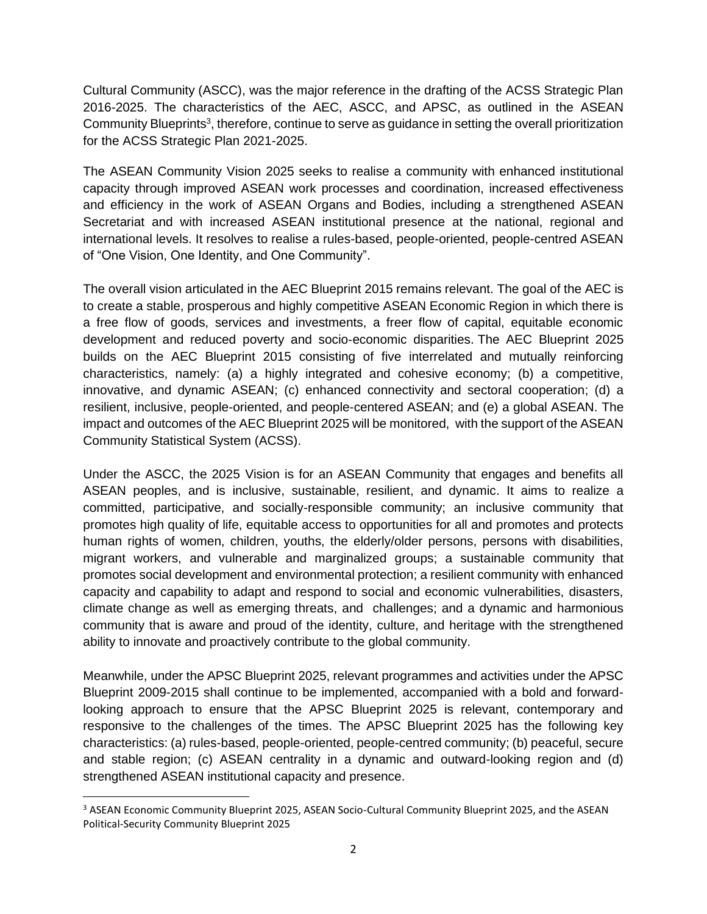Cultural Community (ASCC), was the major reference in the drafting of the ACSS Strategic Plan 2016-2025. The characteristics of the AEC, ASCC, and APSC, as outlined in the ASEAN Community Blueprints<sup>3</sup>, therefore, continue to serve as guidance in setting the overall prioritization for the ACSS Strategic Plan 2021-2025.

The ASEAN Community Vision 2025 seeks to realise a community with enhanced institutional capacity through improved ASEAN work processes and coordination, increased effectiveness and efficiency in the work of ASEAN Organs and Bodies, including a strengthened ASEAN Secretariat and with increased ASEAN institutional presence at the national, regional and international levels. It resolves to realise a rules-based, people-oriented, people-centred ASEAN of "One Vision, One Identity, and One Community".

The overall vision articulated in the AEC Blueprint 2015 remains relevant. The goal of the AEC is to create a stable, prosperous and highly competitive ASEAN Economic Region in which there is a free flow of goods, services and investments, a freer flow of capital, equitable economic development and reduced poverty and socio‐economic disparities. The AEC Blueprint 2025 builds on the AEC Blueprint 2015 consisting of five interrelated and mutually reinforcing characteristics, namely: (a) a highly integrated and cohesive economy; (b) a competitive, innovative, and dynamic ASEAN; (c) enhanced connectivity and sectoral cooperation; (d) a resilient, inclusive, people-oriented, and people-centered ASEAN; and (e) a global ASEAN. The impact and outcomes of the AEC Blueprint 2025 will be monitored, with the support of the ASEAN Community Statistical System (ACSS).

Under the ASCC, the 2025 Vision is for an ASEAN Community that engages and benefits all ASEAN peoples, and is inclusive, sustainable, resilient, and dynamic. It aims to realize a committed, participative, and socially-responsible community; an inclusive community that promotes high quality of life, equitable access to opportunities for all and promotes and protects human rights of women, children, youths, the elderly/older persons, persons with disabilities, migrant workers, and vulnerable and marginalized groups; a sustainable community that promotes social development and environmental protection; a resilient community with enhanced capacity and capability to adapt and respond to social and economic vulnerabilities, disasters, climate change as well as emerging threats, and challenges; and a dynamic and harmonious community that is aware and proud of the identity, culture, and heritage with the strengthened ability to innovate and proactively contribute to the global community.

Meanwhile, under the APSC Blueprint 2025, relevant programmes and activities under the APSC Blueprint 2009-2015 shall continue to be implemented, accompanied with a bold and forwardlooking approach to ensure that the APSC Blueprint 2025 is relevant, contemporary and responsive to the challenges of the times. The APSC Blueprint 2025 has the following key characteristics: (a) rules-based, people-oriented, people-centred community; (b) peaceful, secure and stable region; (c) ASEAN centrality in a dynamic and outward-looking region and (d) strengthened ASEAN institutional capacity and presence.

<sup>&</sup>lt;sup>3</sup> ASEAN Economic Community Blueprint 2025, ASEAN Socio-Cultural Community Blueprint 2025, and the ASEAN Political-Security Community Blueprint 2025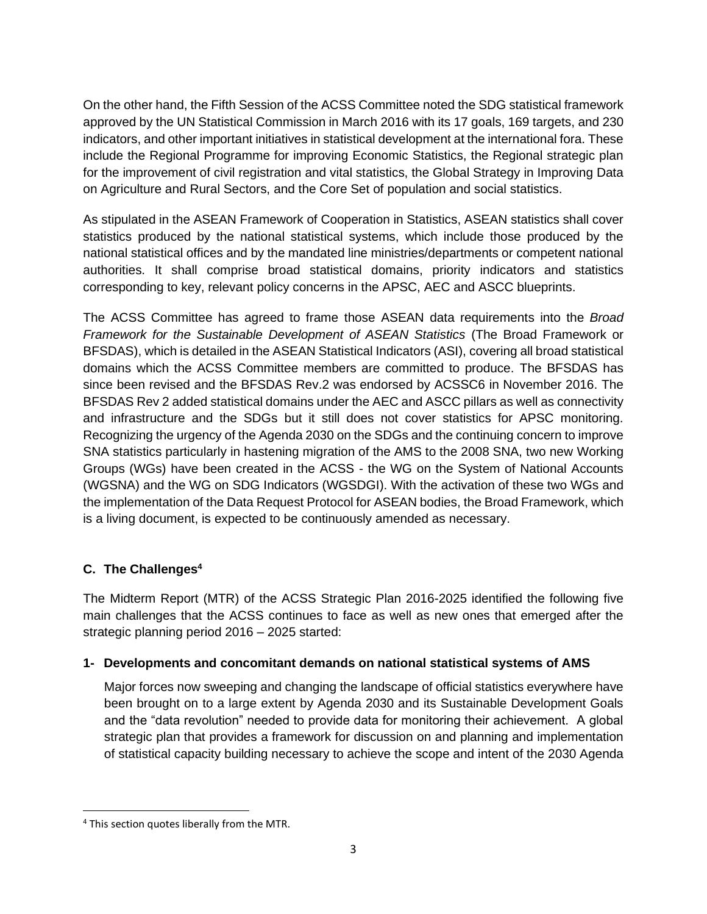On the other hand, the Fifth Session of the ACSS Committee noted the SDG statistical framework approved by the UN Statistical Commission in March 2016 with its 17 goals, 169 targets, and 230 indicators, and other important initiatives in statistical development at the international fora. These include the Regional Programme for improving Economic Statistics, the Regional strategic plan for the improvement of civil registration and vital statistics, the Global Strategy in Improving Data on Agriculture and Rural Sectors, and the Core Set of population and social statistics.

As stipulated in the ASEAN Framework of Cooperation in Statistics, ASEAN statistics shall cover statistics produced by the national statistical systems, which include those produced by the national statistical offices and by the mandated line ministries/departments or competent national authorities. It shall comprise broad statistical domains, priority indicators and statistics corresponding to key, relevant policy concerns in the APSC, AEC and ASCC blueprints.

The ACSS Committee has agreed to frame those ASEAN data requirements into the *Broad Framework for the Sustainable Development of ASEAN Statistics* (The Broad Framework or BFSDAS), which is detailed in the ASEAN Statistical Indicators (ASI), covering all broad statistical domains which the ACSS Committee members are committed to produce. The BFSDAS has since been revised and the BFSDAS Rev.2 was endorsed by ACSSC6 in November 2016. The BFSDAS Rev 2 added statistical domains under the AEC and ASCC pillars as well as connectivity and infrastructure and the SDGs but it still does not cover statistics for APSC monitoring. Recognizing the urgency of the Agenda 2030 on the SDGs and the continuing concern to improve SNA statistics particularly in hastening migration of the AMS to the 2008 SNA, two new Working Groups (WGs) have been created in the ACSS - the WG on the System of National Accounts (WGSNA) and the WG on SDG Indicators (WGSDGI). With the activation of these two WGs and the implementation of the Data Request Protocol for ASEAN bodies, the Broad Framework, which is a living document, is expected to be continuously amended as necessary.

## **C. The Challenges<sup>4</sup>**

The Midterm Report (MTR) of the ACSS Strategic Plan 2016-2025 identified the following five main challenges that the ACSS continues to face as well as new ones that emerged after the strategic planning period 2016 – 2025 started:

## **1- Developments and concomitant demands on national statistical systems of AMS**

Major forces now sweeping and changing the landscape of official statistics everywhere have been brought on to a large extent by Agenda 2030 and its Sustainable Development Goals and the "data revolution" needed to provide data for monitoring their achievement. A global strategic plan that provides a framework for discussion on and planning and implementation of statistical capacity building necessary to achieve the scope and intent of the 2030 Agenda

<sup>&</sup>lt;sup>4</sup> This section quotes liberally from the MTR.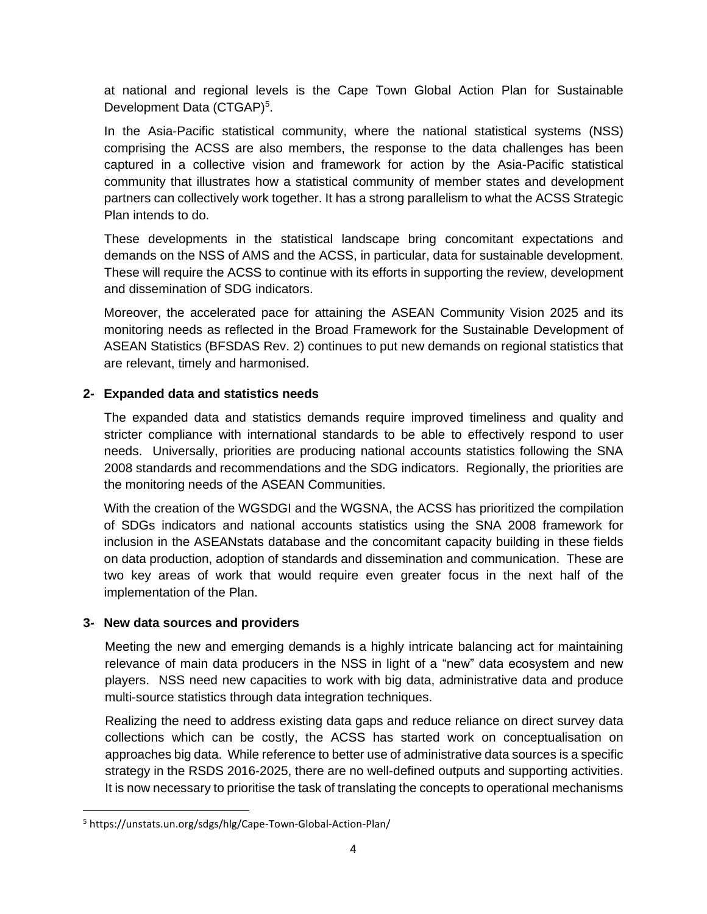at national and regional levels is the Cape Town Global Action Plan for Sustainable Development Data (CTGAP)<sup>5</sup>.

In the Asia-Pacific statistical community, where the national statistical systems (NSS) comprising the ACSS are also members, the response to the data challenges has been captured in a collective vision and framework for action by the Asia-Pacific statistical community that illustrates how a statistical community of member states and development partners can collectively work together. It has a strong parallelism to what the ACSS Strategic Plan intends to do.

These developments in the statistical landscape bring concomitant expectations and demands on the NSS of AMS and the ACSS, in particular, data for sustainable development. These will require the ACSS to continue with its efforts in supporting the review, development and dissemination of SDG indicators.

Moreover, the accelerated pace for attaining the ASEAN Community Vision 2025 and its monitoring needs as reflected in the Broad Framework for the Sustainable Development of ASEAN Statistics (BFSDAS Rev. 2) continues to put new demands on regional statistics that are relevant, timely and harmonised.

## **2- Expanded data and statistics needs**

The expanded data and statistics demands require improved timeliness and quality and stricter compliance with international standards to be able to effectively respond to user needs. Universally, priorities are producing national accounts statistics following the SNA 2008 standards and recommendations and the SDG indicators. Regionally, the priorities are the monitoring needs of the ASEAN Communities.

With the creation of the WGSDGI and the WGSNA, the ACSS has prioritized the compilation of SDGs indicators and national accounts statistics using the SNA 2008 framework for inclusion in the ASEANstats database and the concomitant capacity building in these fields on data production, adoption of standards and dissemination and communication. These are two key areas of work that would require even greater focus in the next half of the implementation of the Plan.

# **3- New data sources and providers**

Meeting the new and emerging demands is a highly intricate balancing act for maintaining relevance of main data producers in the NSS in light of a "new" data ecosystem and new players. NSS need new capacities to work with big data, administrative data and produce multi-source statistics through data integration techniques.

Realizing the need to address existing data gaps and reduce reliance on direct survey data collections which can be costly, the ACSS has started work on conceptualisation on approaches big data. While reference to better use of administrative data sources is a specific strategy in the RSDS 2016-2025, there are no well-defined outputs and supporting activities. It is now necessary to prioritise the task of translating the concepts to operational mechanisms

<sup>5</sup> https://unstats.un.org/sdgs/hlg/Cape-Town-Global-Action-Plan/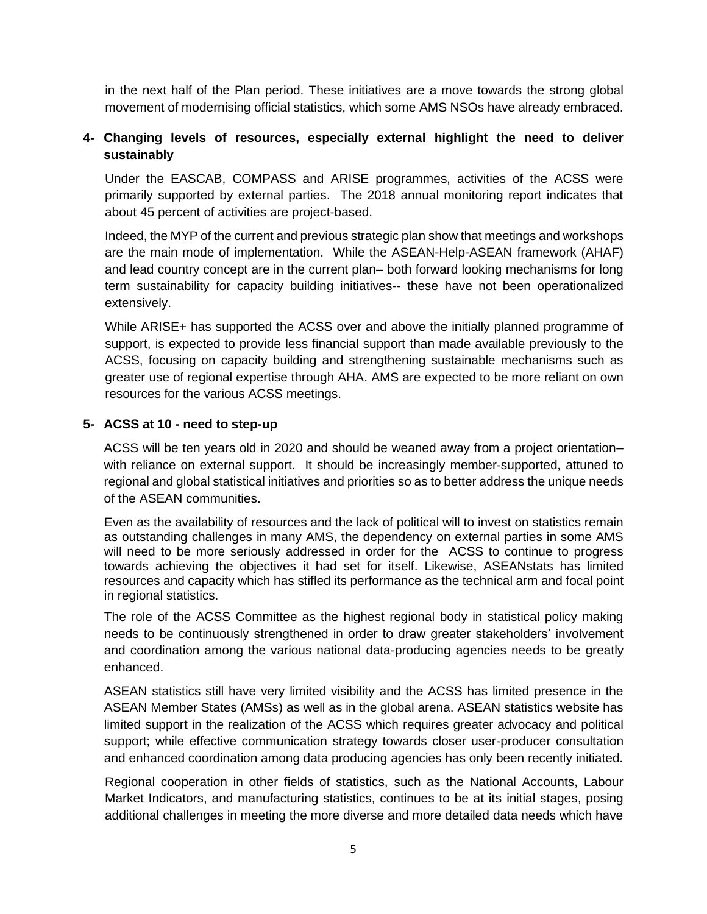in the next half of the Plan period. These initiatives are a move towards the strong global movement of modernising official statistics, which some AMS NSOs have already embraced.

#### **4- Changing levels of resources, especially external highlight the need to deliver sustainably**

Under the EASCAB, COMPASS and ARISE programmes, activities of the ACSS were primarily supported by external parties. The 2018 annual monitoring report indicates that about 45 percent of activities are project-based.

Indeed, the MYP of the current and previous strategic plan show that meetings and workshops are the main mode of implementation. While the ASEAN-Help-ASEAN framework (AHAF) and lead country concept are in the current plan– both forward looking mechanisms for long term sustainability for capacity building initiatives-- these have not been operationalized extensively.

While ARISE+ has supported the ACSS over and above the initially planned programme of support, is expected to provide less financial support than made available previously to the ACSS, focusing on capacity building and strengthening sustainable mechanisms such as greater use of regional expertise through AHA. AMS are expected to be more reliant on own resources for the various ACSS meetings.

#### **5- ACSS at 10 - need to step-up**

ACSS will be ten years old in 2020 and should be weaned away from a project orientation– with reliance on external support. It should be increasingly member-supported, attuned to regional and global statistical initiatives and priorities so as to better address the unique needs of the ASEAN communities.

Even as the availability of resources and the lack of political will to invest on statistics remain as outstanding challenges in many AMS, the dependency on external parties in some AMS will need to be more seriously addressed in order for the ACSS to continue to progress towards achieving the objectives it had set for itself. Likewise, ASEANstats has limited resources and capacity which has stifled its performance as the technical arm and focal point in regional statistics.

The role of the ACSS Committee as the highest regional body in statistical policy making needs to be continuously strengthened in order to draw greater stakeholders' involvement and coordination among the various national data-producing agencies needs to be greatly enhanced.

ASEAN statistics still have very limited visibility and the ACSS has limited presence in the ASEAN Member States (AMSs) as well as in the global arena. ASEAN statistics website has limited support in the realization of the ACSS which requires greater advocacy and political support; while effective communication strategy towards closer user-producer consultation and enhanced coordination among data producing agencies has only been recently initiated.

Regional cooperation in other fields of statistics, such as the National Accounts, Labour Market Indicators, and manufacturing statistics, continues to be at its initial stages, posing additional challenges in meeting the more diverse and more detailed data needs which have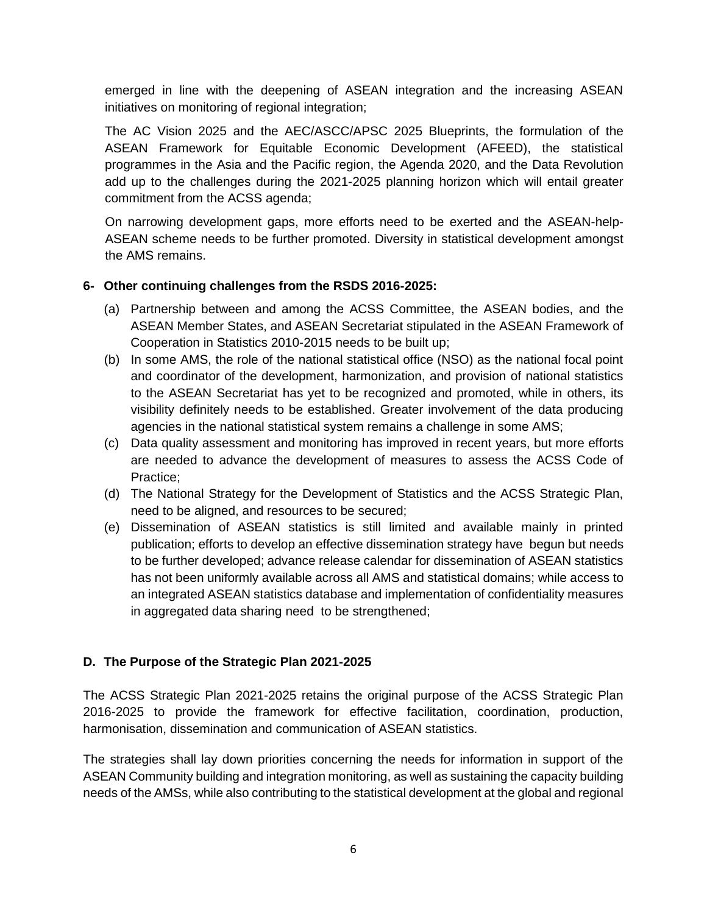emerged in line with the deepening of ASEAN integration and the increasing ASEAN initiatives on monitoring of regional integration;

The AC Vision 2025 and the AEC/ASCC/APSC 2025 Blueprints, the formulation of the ASEAN Framework for Equitable Economic Development (AFEED), the statistical programmes in the Asia and the Pacific region, the Agenda 2020, and the Data Revolution add up to the challenges during the 2021-2025 planning horizon which will entail greater commitment from the ACSS agenda;

On narrowing development gaps, more efforts need to be exerted and the ASEAN-help-ASEAN scheme needs to be further promoted. Diversity in statistical development amongst the AMS remains.

#### **6- Other continuing challenges from the RSDS 2016-2025:**

- (a) Partnership between and among the ACSS Committee, the ASEAN bodies, and the ASEAN Member States, and ASEAN Secretariat stipulated in the ASEAN Framework of Cooperation in Statistics 2010-2015 needs to be built up;
- (b) In some AMS, the role of the national statistical office (NSO) as the national focal point and coordinator of the development, harmonization, and provision of national statistics to the ASEAN Secretariat has yet to be recognized and promoted, while in others, its visibility definitely needs to be established. Greater involvement of the data producing agencies in the national statistical system remains a challenge in some AMS;
- (c) Data quality assessment and monitoring has improved in recent years, but more efforts are needed to advance the development of measures to assess the ACSS Code of Practice;
- (d) The National Strategy for the Development of Statistics and the ACSS Strategic Plan, need to be aligned, and resources to be secured;
- (e) Dissemination of ASEAN statistics is still limited and available mainly in printed publication; efforts to develop an effective dissemination strategy have begun but needs to be further developed; advance release calendar for dissemination of ASEAN statistics has not been uniformly available across all AMS and statistical domains; while access to an integrated ASEAN statistics database and implementation of confidentiality measures in aggregated data sharing need to be strengthened;

## **D. The Purpose of the Strategic Plan 2021-2025**

The ACSS Strategic Plan 2021-2025 retains the original purpose of the ACSS Strategic Plan 2016-2025 to provide the framework for effective facilitation, coordination, production, harmonisation, dissemination and communication of ASEAN statistics.

The strategies shall lay down priorities concerning the needs for information in support of the ASEAN Community building and integration monitoring, as well as sustaining the capacity building needs of the AMSs, while also contributing to the statistical development at the global and regional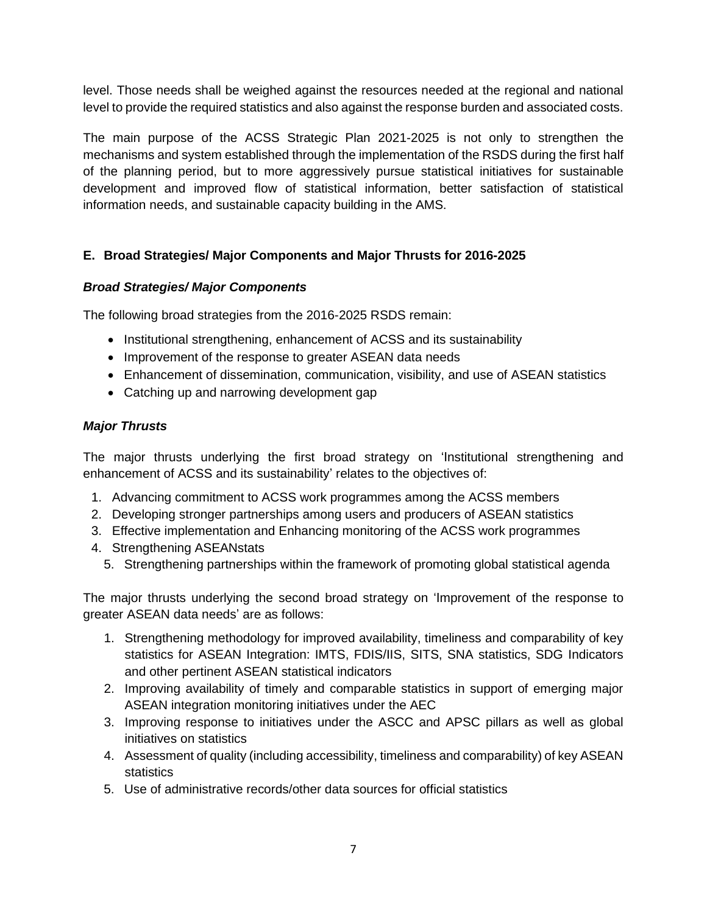level. Those needs shall be weighed against the resources needed at the regional and national level to provide the required statistics and also against the response burden and associated costs.

The main purpose of the ACSS Strategic Plan 2021-2025 is not only to strengthen the mechanisms and system established through the implementation of the RSDS during the first half of the planning period, but to more aggressively pursue statistical initiatives for sustainable development and improved flow of statistical information, better satisfaction of statistical information needs, and sustainable capacity building in the AMS.

## **E. Broad Strategies/ Major Components and Major Thrusts for 2016-2025**

#### *Broad Strategies/ Major Components*

The following broad strategies from the 2016-2025 RSDS remain:

- Institutional strengthening, enhancement of ACSS and its sustainability
- Improvement of the response to greater ASEAN data needs
- Enhancement of dissemination, communication, visibility, and use of ASEAN statistics
- Catching up and narrowing development gap

#### *Major Thrusts*

The major thrusts underlying the first broad strategy on 'Institutional strengthening and enhancement of ACSS and its sustainability' relates to the objectives of:

- 1. Advancing commitment to ACSS work programmes among the ACSS members
- 2. Developing stronger partnerships among users and producers of ASEAN statistics
- 3. Effective implementation and Enhancing monitoring of the ACSS work programmes
- 4. Strengthening ASEANstats
	- 5. Strengthening partnerships within the framework of promoting global statistical agenda

The major thrusts underlying the second broad strategy on 'Improvement of the response to greater ASEAN data needs' are as follows:

- 1. Strengthening methodology for improved availability, timeliness and comparability of key statistics for ASEAN Integration: IMTS, FDIS/IIS, SITS, SNA statistics, SDG Indicators and other pertinent ASEAN statistical indicators
- 2. Improving availability of timely and comparable statistics in support of emerging major ASEAN integration monitoring initiatives under the AEC
- 3. Improving response to initiatives under the ASCC and APSC pillars as well as global initiatives on statistics
- 4. Assessment of quality (including accessibility, timeliness and comparability) of key ASEAN statistics
- 5. Use of administrative records/other data sources for official statistics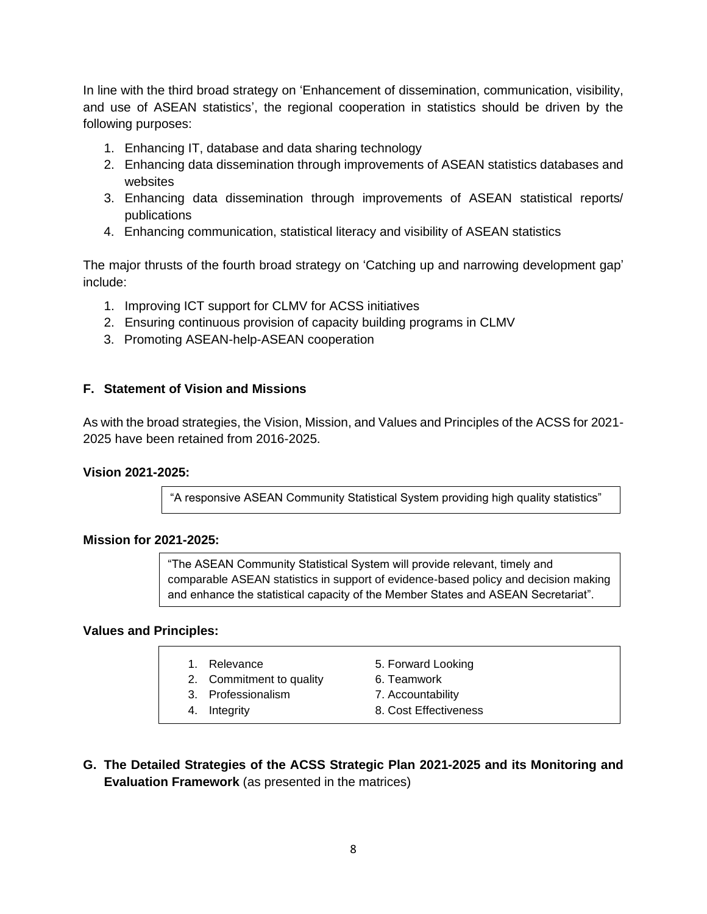In line with the third broad strategy on 'Enhancement of dissemination, communication, visibility, and use of ASEAN statistics', the regional cooperation in statistics should be driven by the following purposes:

- 1. Enhancing IT, database and data sharing technology
- 2. Enhancing data dissemination through improvements of ASEAN statistics databases and websites
- 3. Enhancing data dissemination through improvements of ASEAN statistical reports/ publications
- 4. Enhancing communication, statistical literacy and visibility of ASEAN statistics

The major thrusts of the fourth broad strategy on 'Catching up and narrowing development gap' include:

- 1. Improving ICT support for CLMV for ACSS initiatives
- 2. Ensuring continuous provision of capacity building programs in CLMV
- 3. Promoting ASEAN-help-ASEAN cooperation

#### **F. Statement of Vision and Missions**

As with the broad strategies, the Vision, Mission, and Values and Principles of the ACSS for 2021- 2025 have been retained from 2016-2025.

#### **Vision 2021-2025:**

"A responsive ASEAN Community Statistical System providing high quality statistics"

#### **Mission for 2021-2025:**

"The ASEAN Community Statistical System will provide relevant, timely and comparable ASEAN statistics in support of evidence-based policy and decision making and enhance the statistical capacity of the Member States and ASEAN Secretariat".

#### **Values and Principles:**

- 
- 2. Commitment to quality 6. Teamwork
- 3. Professionalism 7. Accountability
- 
- 1. Relevance 5. Forward Looking
	-
	-
- 4. Integrity 8. Cost Effectiveness
- **G. The Detailed Strategies of the ACSS Strategic Plan 2021-2025 and its Monitoring and Evaluation Framework** (as presented in the matrices)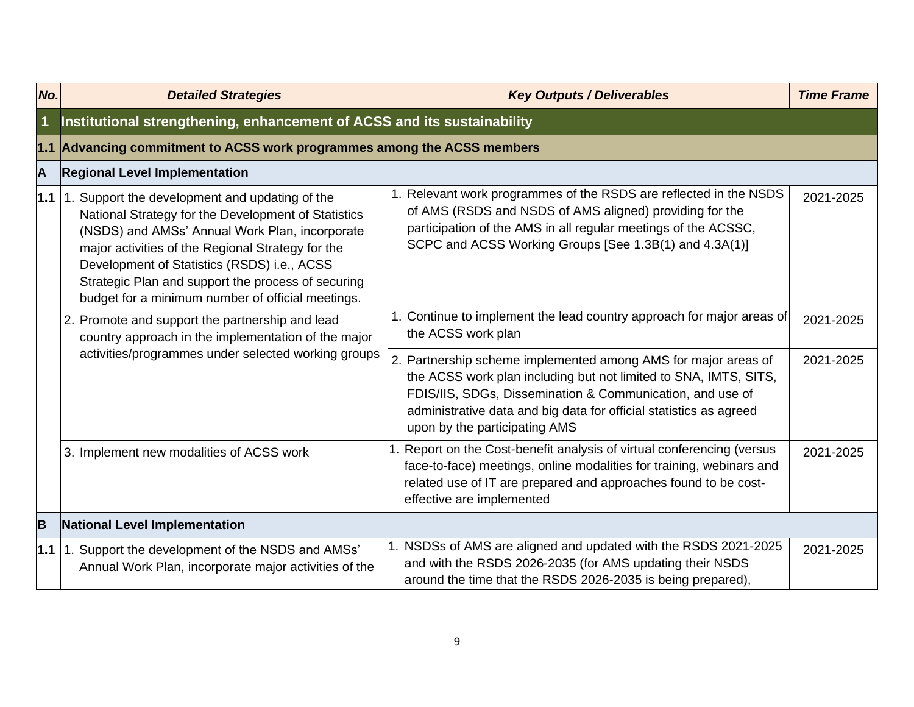| No.          | <b>Detailed Strategies</b>                                                                                                                                                                                                                                                                                                                                             | <b>Key Outputs / Deliverables</b>                                                                                                                                                                                                                                                                      | <b>Time Frame</b> |
|--------------|------------------------------------------------------------------------------------------------------------------------------------------------------------------------------------------------------------------------------------------------------------------------------------------------------------------------------------------------------------------------|--------------------------------------------------------------------------------------------------------------------------------------------------------------------------------------------------------------------------------------------------------------------------------------------------------|-------------------|
| $\mathbf{1}$ | Institutional strengthening, enhancement of ACSS and its sustainability                                                                                                                                                                                                                                                                                                |                                                                                                                                                                                                                                                                                                        |                   |
| $1.1$        | Advancing commitment to ACSS work programmes among the ACSS members                                                                                                                                                                                                                                                                                                    |                                                                                                                                                                                                                                                                                                        |                   |
| A            | <b>Regional Level Implementation</b>                                                                                                                                                                                                                                                                                                                                   |                                                                                                                                                                                                                                                                                                        |                   |
| $1.1$        | 1. Support the development and updating of the<br>National Strategy for the Development of Statistics<br>(NSDS) and AMSs' Annual Work Plan, incorporate<br>major activities of the Regional Strategy for the<br>Development of Statistics (RSDS) i.e., ACSS<br>Strategic Plan and support the process of securing<br>budget for a minimum number of official meetings. | Relevant work programmes of the RSDS are reflected in the NSDS<br>of AMS (RSDS and NSDS of AMS aligned) providing for the<br>participation of the AMS in all regular meetings of the ACSSC,<br>SCPC and ACSS Working Groups [See 1.3B(1) and 4.3A(1)]                                                  | 2021-2025         |
|              | 2. Promote and support the partnership and lead<br>country approach in the implementation of the major<br>activities/programmes under selected working groups                                                                                                                                                                                                          | 1. Continue to implement the lead country approach for major areas of<br>the ACSS work plan                                                                                                                                                                                                            | 2021-2025         |
|              |                                                                                                                                                                                                                                                                                                                                                                        | 2. Partnership scheme implemented among AMS for major areas of<br>the ACSS work plan including but not limited to SNA, IMTS, SITS,<br>FDIS/IIS, SDGs, Dissemination & Communication, and use of<br>administrative data and big data for official statistics as agreed<br>upon by the participating AMS | 2021-2025         |
|              | 3. Implement new modalities of ACSS work                                                                                                                                                                                                                                                                                                                               | Report on the Cost-benefit analysis of virtual conferencing (versus<br>face-to-face) meetings, online modalities for training, webinars and<br>related use of IT are prepared and approaches found to be cost-<br>effective are implemented                                                            | 2021-2025         |
| B            | <b>National Level Implementation</b>                                                                                                                                                                                                                                                                                                                                   |                                                                                                                                                                                                                                                                                                        |                   |
| 1.1          | 1. Support the development of the NSDS and AMSs'<br>Annual Work Plan, incorporate major activities of the                                                                                                                                                                                                                                                              | NSDSs of AMS are aligned and updated with the RSDS 2021-2025<br>and with the RSDS 2026-2035 (for AMS updating their NSDS<br>around the time that the RSDS 2026-2035 is being prepared),                                                                                                                | 2021-2025         |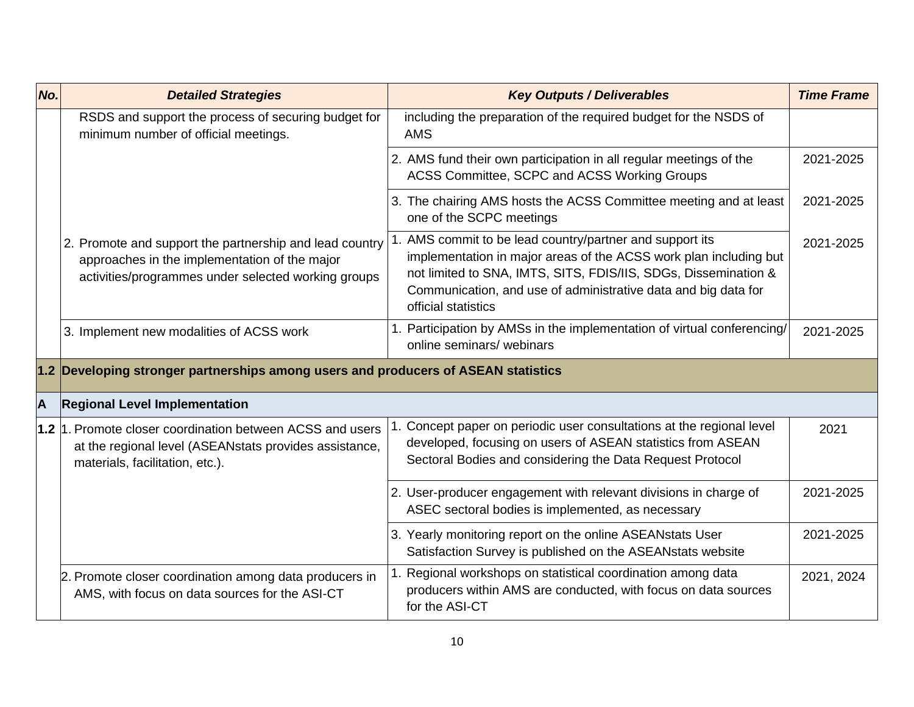| No. | <b>Detailed Strategies</b>                                                                                                                                      | <b>Key Outputs / Deliverables</b>                                                                                                                                                                                                                                                      | <b>Time Frame</b> |
|-----|-----------------------------------------------------------------------------------------------------------------------------------------------------------------|----------------------------------------------------------------------------------------------------------------------------------------------------------------------------------------------------------------------------------------------------------------------------------------|-------------------|
|     | RSDS and support the process of securing budget for<br>minimum number of official meetings.                                                                     | including the preparation of the required budget for the NSDS of<br><b>AMS</b>                                                                                                                                                                                                         |                   |
|     |                                                                                                                                                                 | 2. AMS fund their own participation in all regular meetings of the<br>ACSS Committee, SCPC and ACSS Working Groups                                                                                                                                                                     | 2021-2025         |
|     |                                                                                                                                                                 | 3. The chairing AMS hosts the ACSS Committee meeting and at least<br>one of the SCPC meetings                                                                                                                                                                                          | 2021-2025         |
|     | 2. Promote and support the partnership and lead country<br>approaches in the implementation of the major<br>activities/programmes under selected working groups | AMS commit to be lead country/partner and support its<br>implementation in major areas of the ACSS work plan including but<br>not limited to SNA, IMTS, SITS, FDIS/IIS, SDGs, Dissemination &<br>Communication, and use of administrative data and big data for<br>official statistics | 2021-2025         |
|     | 3. Implement new modalities of ACSS work                                                                                                                        | Participation by AMSs in the implementation of virtual conferencing/<br>online seminars/ webinars                                                                                                                                                                                      | 2021-2025         |
|     | 1.2 Developing stronger partnerships among users and producers of ASEAN statistics                                                                              |                                                                                                                                                                                                                                                                                        |                   |
| A   | <b>Regional Level Implementation</b>                                                                                                                            |                                                                                                                                                                                                                                                                                        |                   |
|     | 1.2 1. Promote closer coordination between ACSS and users<br>at the regional level (ASEANstats provides assistance,<br>materials, facilitation, etc.).          | 1. Concept paper on periodic user consultations at the regional level<br>developed, focusing on users of ASEAN statistics from ASEAN<br>Sectoral Bodies and considering the Data Request Protocol                                                                                      | 2021              |
|     |                                                                                                                                                                 | 2. User-producer engagement with relevant divisions in charge of<br>ASEC sectoral bodies is implemented, as necessary                                                                                                                                                                  | 2021-2025         |
|     |                                                                                                                                                                 | 3. Yearly monitoring report on the online ASEANstats User<br>Satisfaction Survey is published on the ASEANstats website                                                                                                                                                                | 2021-2025         |
|     | 2. Promote closer coordination among data producers in<br>AMS, with focus on data sources for the ASI-CT                                                        | Regional workshops on statistical coordination among data<br>producers within AMS are conducted, with focus on data sources<br>for the ASI-CT                                                                                                                                          | 2021, 2024        |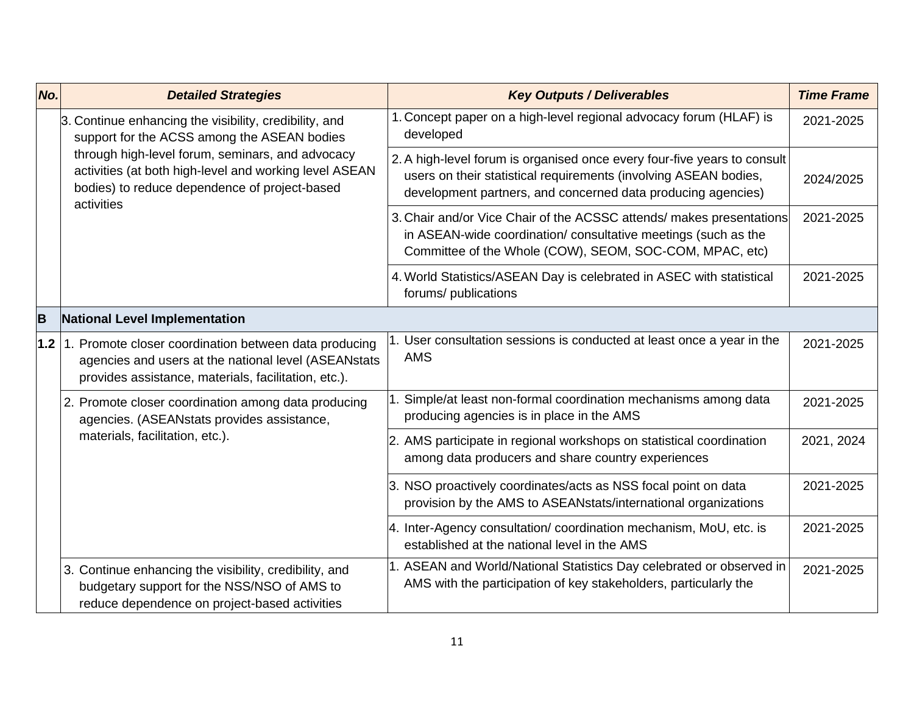| No.   | <b>Detailed Strategies</b>                                                                                                                                                                                                                                                         | <b>Key Outputs / Deliverables</b>                                                                                                                                                                            | <b>Time Frame</b> |
|-------|------------------------------------------------------------------------------------------------------------------------------------------------------------------------------------------------------------------------------------------------------------------------------------|--------------------------------------------------------------------------------------------------------------------------------------------------------------------------------------------------------------|-------------------|
|       | 3. Continue enhancing the visibility, credibility, and<br>support for the ACSS among the ASEAN bodies<br>through high-level forum, seminars, and advocacy<br>activities (at both high-level and working level ASEAN<br>bodies) to reduce dependence of project-based<br>activities | 1. Concept paper on a high-level regional advocacy forum (HLAF) is<br>developed                                                                                                                              | 2021-2025         |
|       |                                                                                                                                                                                                                                                                                    | 2. A high-level forum is organised once every four-five years to consult<br>users on their statistical requirements (involving ASEAN bodies,<br>development partners, and concerned data producing agencies) | 2024/2025         |
|       |                                                                                                                                                                                                                                                                                    | 3. Chair and/or Vice Chair of the ACSSC attends/ makes presentations<br>in ASEAN-wide coordination/ consultative meetings (such as the<br>Committee of the Whole (COW), SEOM, SOC-COM, MPAC, etc)            | 2021-2025         |
|       |                                                                                                                                                                                                                                                                                    | 4. World Statistics/ASEAN Day is celebrated in ASEC with statistical<br>forums/ publications                                                                                                                 | 2021-2025         |
| B     | National Level Implementation                                                                                                                                                                                                                                                      |                                                                                                                                                                                                              |                   |
| $1.2$ | Promote closer coordination between data producing<br>agencies and users at the national level (ASEANstats<br>provides assistance, materials, facilitation, etc.).                                                                                                                 | User consultation sessions is conducted at least once a year in the<br><b>AMS</b>                                                                                                                            | 2021-2025         |
|       | 2. Promote closer coordination among data producing<br>agencies. (ASEANstats provides assistance,<br>materials, facilitation, etc.).                                                                                                                                               | Simple/at least non-formal coordination mechanisms among data<br>producing agencies is in place in the AMS                                                                                                   | 2021-2025         |
|       |                                                                                                                                                                                                                                                                                    | AMS participate in regional workshops on statistical coordination<br>among data producers and share country experiences                                                                                      | 2021, 2024        |
|       |                                                                                                                                                                                                                                                                                    | 3. NSO proactively coordinates/acts as NSS focal point on data<br>provision by the AMS to ASEANstats/international organizations                                                                             | 2021-2025         |
|       |                                                                                                                                                                                                                                                                                    | 4. Inter-Agency consultation/ coordination mechanism, MoU, etc. is<br>established at the national level in the AMS                                                                                           | 2021-2025         |
|       | 3. Continue enhancing the visibility, credibility, and<br>budgetary support for the NSS/NSO of AMS to<br>reduce dependence on project-based activities                                                                                                                             | 1. ASEAN and World/National Statistics Day celebrated or observed in<br>AMS with the participation of key stakeholders, particularly the                                                                     | 2021-2025         |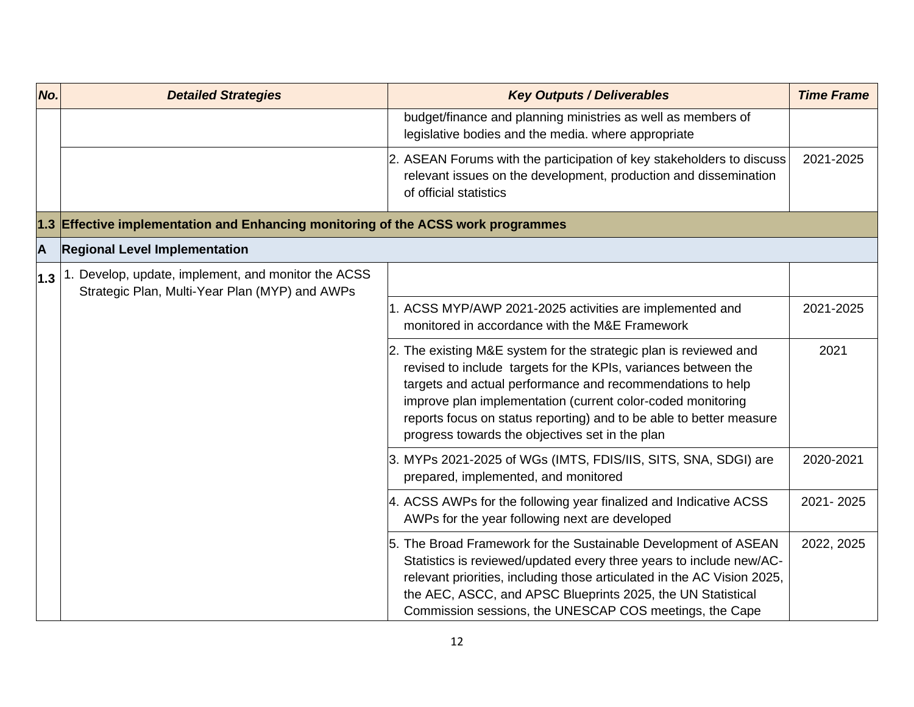| No.              | <b>Detailed Strategies</b>                                                                            | <b>Key Outputs / Deliverables</b>                                                                                                                                                                                                                                                                                                                                                          | <b>Time Frame</b> |
|------------------|-------------------------------------------------------------------------------------------------------|--------------------------------------------------------------------------------------------------------------------------------------------------------------------------------------------------------------------------------------------------------------------------------------------------------------------------------------------------------------------------------------------|-------------------|
|                  |                                                                                                       | budget/finance and planning ministries as well as members of<br>legislative bodies and the media. where appropriate                                                                                                                                                                                                                                                                        |                   |
|                  |                                                                                                       | 2. ASEAN Forums with the participation of key stakeholders to discuss<br>relevant issues on the development, production and dissemination<br>of official statistics                                                                                                                                                                                                                        | 2021-2025         |
|                  | 1.3 Effective implementation and Enhancing monitoring of the ACSS work programmes                     |                                                                                                                                                                                                                                                                                                                                                                                            |                   |
| $\blacktriangle$ | <b>Regional Level Implementation</b>                                                                  |                                                                                                                                                                                                                                                                                                                                                                                            |                   |
| 1.3              | 1. Develop, update, implement, and monitor the ACSS<br>Strategic Plan, Multi-Year Plan (MYP) and AWPs |                                                                                                                                                                                                                                                                                                                                                                                            |                   |
|                  |                                                                                                       | 1. ACSS MYP/AWP 2021-2025 activities are implemented and<br>monitored in accordance with the M&E Framework                                                                                                                                                                                                                                                                                 | 2021-2025         |
|                  |                                                                                                       | 2. The existing M&E system for the strategic plan is reviewed and<br>revised to include targets for the KPIs, variances between the<br>targets and actual performance and recommendations to help<br>improve plan implementation (current color-coded monitoring<br>reports focus on status reporting) and to be able to better measure<br>progress towards the objectives set in the plan | 2021              |
|                  |                                                                                                       | 3. MYPs 2021-2025 of WGs (IMTS, FDIS/IIS, SITS, SNA, SDGI) are<br>prepared, implemented, and monitored                                                                                                                                                                                                                                                                                     | 2020-2021         |
|                  |                                                                                                       | 4. ACSS AWPs for the following year finalized and Indicative ACSS<br>AWPs for the year following next are developed                                                                                                                                                                                                                                                                        | 2021-2025         |
|                  |                                                                                                       | 5. The Broad Framework for the Sustainable Development of ASEAN<br>Statistics is reviewed/updated every three years to include new/AC-<br>relevant priorities, including those articulated in the AC Vision 2025,<br>the AEC, ASCC, and APSC Blueprints 2025, the UN Statistical<br>Commission sessions, the UNESCAP COS meetings, the Cape                                                | 2022, 2025        |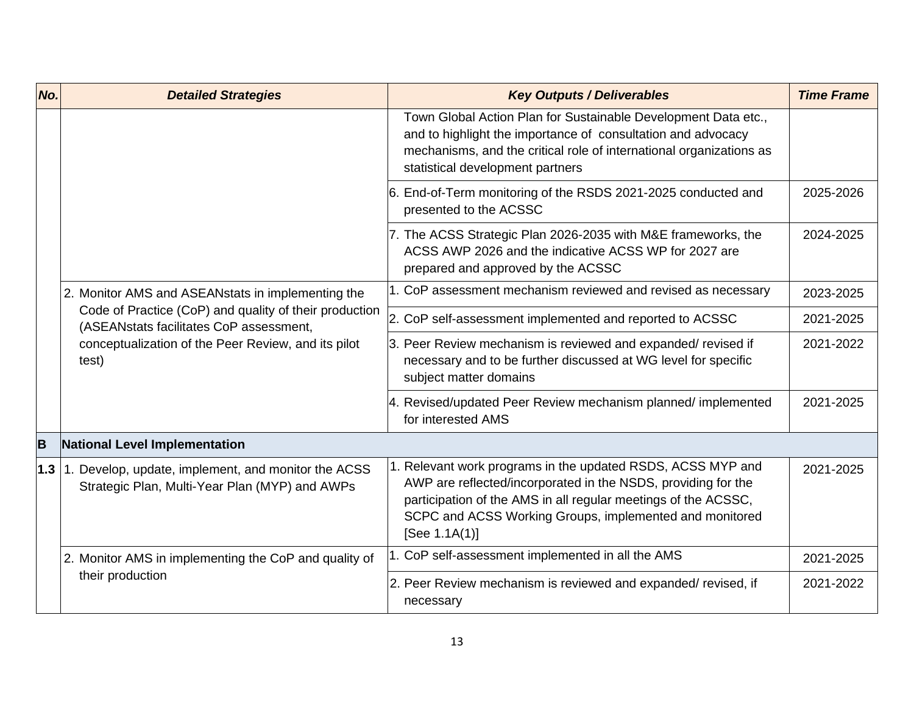| No. | <b>Detailed Strategies</b>                                                                                                                                        | <b>Key Outputs / Deliverables</b>                                                                                                                                                                                                                                          | <b>Time Frame</b> |
|-----|-------------------------------------------------------------------------------------------------------------------------------------------------------------------|----------------------------------------------------------------------------------------------------------------------------------------------------------------------------------------------------------------------------------------------------------------------------|-------------------|
|     |                                                                                                                                                                   | Town Global Action Plan for Sustainable Development Data etc.,<br>and to highlight the importance of consultation and advocacy<br>mechanisms, and the critical role of international organizations as<br>statistical development partners                                  |                   |
|     |                                                                                                                                                                   | 6. End-of-Term monitoring of the RSDS 2021-2025 conducted and<br>presented to the ACSSC                                                                                                                                                                                    | 2025-2026         |
|     |                                                                                                                                                                   | 7. The ACSS Strategic Plan 2026-2035 with M&E frameworks, the<br>ACSS AWP 2026 and the indicative ACSS WP for 2027 are<br>prepared and approved by the ACSSC                                                                                                               | 2024-2025         |
|     | 2. Monitor AMS and ASEANstats in implementing the                                                                                                                 | 1. CoP assessment mechanism reviewed and revised as necessary                                                                                                                                                                                                              | 2023-2025         |
|     | Code of Practice (CoP) and quality of their production<br>(ASEANstats facilitates CoP assessment,<br>conceptualization of the Peer Review, and its pilot<br>test) | 2. CoP self-assessment implemented and reported to ACSSC                                                                                                                                                                                                                   | 2021-2025         |
|     |                                                                                                                                                                   | 3. Peer Review mechanism is reviewed and expanded/revised if<br>necessary and to be further discussed at WG level for specific<br>subject matter domains                                                                                                                   | 2021-2022         |
|     |                                                                                                                                                                   | 4. Revised/updated Peer Review mechanism planned/ implemented<br>for interested AMS                                                                                                                                                                                        | 2021-2025         |
| B   | National Level Implementation                                                                                                                                     |                                                                                                                                                                                                                                                                            |                   |
| 1.3 | 1. Develop, update, implement, and monitor the ACSS<br>Strategic Plan, Multi-Year Plan (MYP) and AWPs                                                             | 1. Relevant work programs in the updated RSDS, ACSS MYP and<br>AWP are reflected/incorporated in the NSDS, providing for the<br>participation of the AMS in all regular meetings of the ACSSC,<br>SCPC and ACSS Working Groups, implemented and monitored<br>[See 1.1A(1)] | 2021-2025         |
|     | 2. Monitor AMS in implementing the CoP and quality of                                                                                                             | 1. CoP self-assessment implemented in all the AMS                                                                                                                                                                                                                          | 2021-2025         |
|     | their production                                                                                                                                                  | 2. Peer Review mechanism is reviewed and expanded/ revised, if<br>necessary                                                                                                                                                                                                | 2021-2022         |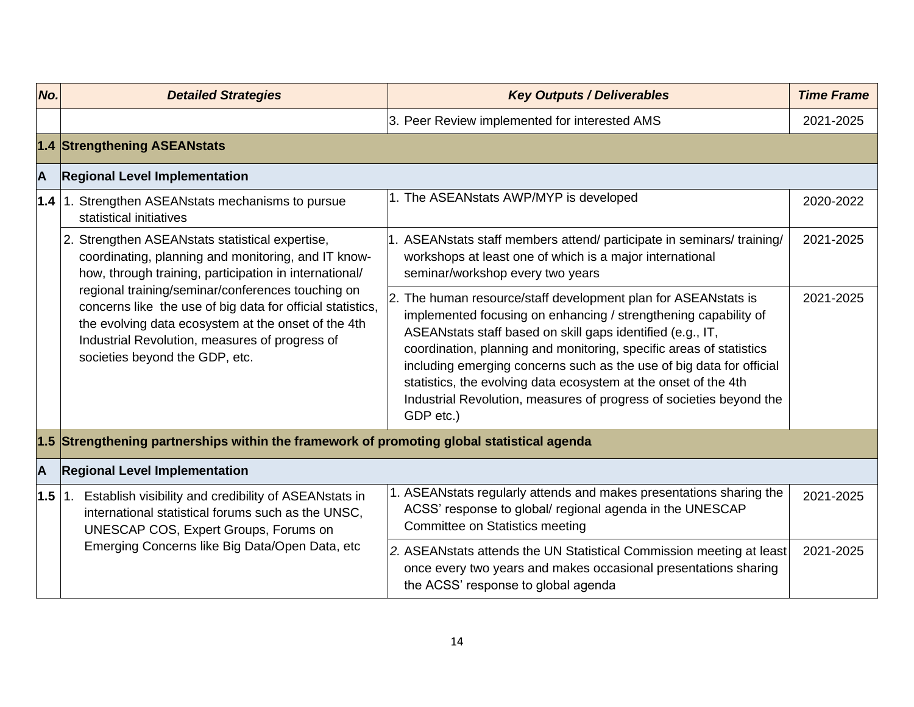| No. | <b>Detailed Strategies</b>                                                                                                                                                                                                                                 | <b>Key Outputs / Deliverables</b>                                                                                                                                                                                                                                                                                                                                                                                                                                                                  | <b>Time Frame</b> |
|-----|------------------------------------------------------------------------------------------------------------------------------------------------------------------------------------------------------------------------------------------------------------|----------------------------------------------------------------------------------------------------------------------------------------------------------------------------------------------------------------------------------------------------------------------------------------------------------------------------------------------------------------------------------------------------------------------------------------------------------------------------------------------------|-------------------|
|     |                                                                                                                                                                                                                                                            | 3. Peer Review implemented for interested AMS                                                                                                                                                                                                                                                                                                                                                                                                                                                      | 2021-2025         |
|     | 1.4 Strengthening ASEANstats                                                                                                                                                                                                                               |                                                                                                                                                                                                                                                                                                                                                                                                                                                                                                    |                   |
| A   | <b>Regional Level Implementation</b>                                                                                                                                                                                                                       |                                                                                                                                                                                                                                                                                                                                                                                                                                                                                                    |                   |
| 1.4 | 1. Strengthen ASEANstats mechanisms to pursue<br>statistical initiatives                                                                                                                                                                                   | 1. The ASEANstats AWP/MYP is developed                                                                                                                                                                                                                                                                                                                                                                                                                                                             | 2020-2022         |
|     | 2. Strengthen ASEANstats statistical expertise,<br>coordinating, planning and monitoring, and IT know-<br>how, through training, participation in international/                                                                                           | ASEANstats staff members attend/ participate in seminars/ training/<br>workshops at least one of which is a major international<br>seminar/workshop every two years                                                                                                                                                                                                                                                                                                                                | 2021-2025         |
|     | regional training/seminar/conferences touching on<br>concerns like the use of big data for official statistics,<br>the evolving data ecosystem at the onset of the 4th<br>Industrial Revolution, measures of progress of<br>societies beyond the GDP, etc. | The human resource/staff development plan for ASEANstats is<br>implemented focusing on enhancing / strengthening capability of<br>ASEANstats staff based on skill gaps identified (e.g., IT,<br>coordination, planning and monitoring, specific areas of statistics<br>including emerging concerns such as the use of big data for official<br>statistics, the evolving data ecosystem at the onset of the 4th<br>Industrial Revolution, measures of progress of societies beyond the<br>GDP etc.) | 2021-2025         |
|     | 1.5 Strengthening partnerships within the framework of promoting global statistical agenda                                                                                                                                                                 |                                                                                                                                                                                                                                                                                                                                                                                                                                                                                                    |                   |
| A   | <b>Regional Level Implementation</b>                                                                                                                                                                                                                       |                                                                                                                                                                                                                                                                                                                                                                                                                                                                                                    |                   |
| 1.5 | 1. Establish visibility and credibility of ASEANstats in<br>international statistical forums such as the UNSC,<br>UNESCAP COS, Expert Groups, Forums on                                                                                                    | 1. ASEANstats regularly attends and makes presentations sharing the<br>ACSS' response to global/ regional agenda in the UNESCAP<br><b>Committee on Statistics meeting</b>                                                                                                                                                                                                                                                                                                                          | 2021-2025         |
|     | Emerging Concerns like Big Data/Open Data, etc                                                                                                                                                                                                             | 2. ASEANstats attends the UN Statistical Commission meeting at least<br>once every two years and makes occasional presentations sharing<br>the ACSS' response to global agenda                                                                                                                                                                                                                                                                                                                     | 2021-2025         |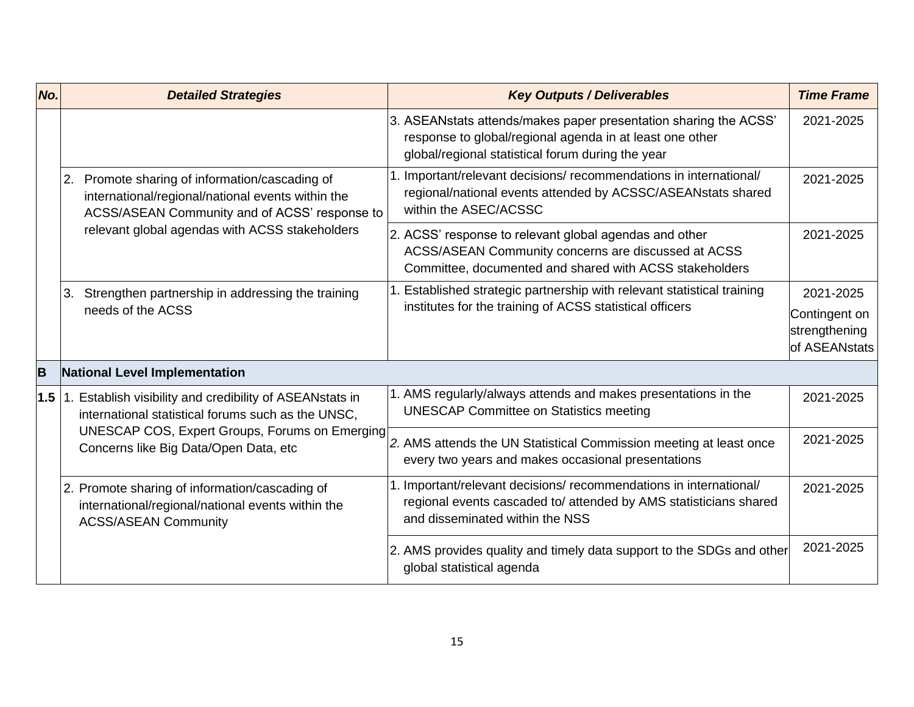| No. | <b>Detailed Strategies</b>                                                                                                                                                                                | <b>Key Outputs / Deliverables</b>                                                                                                                                                 | <b>Time Frame</b>                               |
|-----|-----------------------------------------------------------------------------------------------------------------------------------------------------------------------------------------------------------|-----------------------------------------------------------------------------------------------------------------------------------------------------------------------------------|-------------------------------------------------|
|     |                                                                                                                                                                                                           | 3. ASEANstats attends/makes paper presentation sharing the ACSS'<br>response to global/regional agenda in at least one other<br>global/regional statistical forum during the year | 2021-2025                                       |
|     | Promote sharing of information/cascading of<br>2.<br>international/regional/national events within the<br>ACSS/ASEAN Community and of ACSS' response to<br>relevant global agendas with ACSS stakeholders | Important/relevant decisions/ recommendations in international/<br>regional/national events attended by ACSSC/ASEANstats shared<br>within the ASEC/ACSSC                          | 2021-2025                                       |
|     |                                                                                                                                                                                                           | 2. ACSS' response to relevant global agendas and other<br>ACSS/ASEAN Community concerns are discussed at ACSS<br>Committee, documented and shared with ACSS stakeholders          | 2021-2025                                       |
|     | 3. Strengthen partnership in addressing the training                                                                                                                                                      | Established strategic partnership with relevant statistical training                                                                                                              | 2021-2025                                       |
|     | needs of the ACSS                                                                                                                                                                                         | institutes for the training of ACSS statistical officers                                                                                                                          | Contingent on<br>strengthening<br>of ASEANstats |
| B   | National Level Implementation                                                                                                                                                                             |                                                                                                                                                                                   |                                                 |
| 1.5 | 1. Establish visibility and credibility of ASEANstats in<br>international statistical forums such as the UNSC,                                                                                            | 1. AMS regularly/always attends and makes presentations in the<br><b>UNESCAP Committee on Statistics meeting</b>                                                                  | 2021-2025                                       |
|     | UNESCAP COS, Expert Groups, Forums on Emerging<br>Concerns like Big Data/Open Data, etc                                                                                                                   | 2. AMS attends the UN Statistical Commission meeting at least once<br>every two years and makes occasional presentations                                                          | 2021-2025                                       |
|     | 2. Promote sharing of information/cascading of<br>international/regional/national events within the<br><b>ACSS/ASEAN Community</b>                                                                        | 1. Important/relevant decisions/ recommendations in international/<br>regional events cascaded to/ attended by AMS statisticians shared<br>and disseminated within the NSS        | 2021-2025                                       |
|     |                                                                                                                                                                                                           | 2. AMS provides quality and timely data support to the SDGs and other<br>global statistical agenda                                                                                | 2021-2025                                       |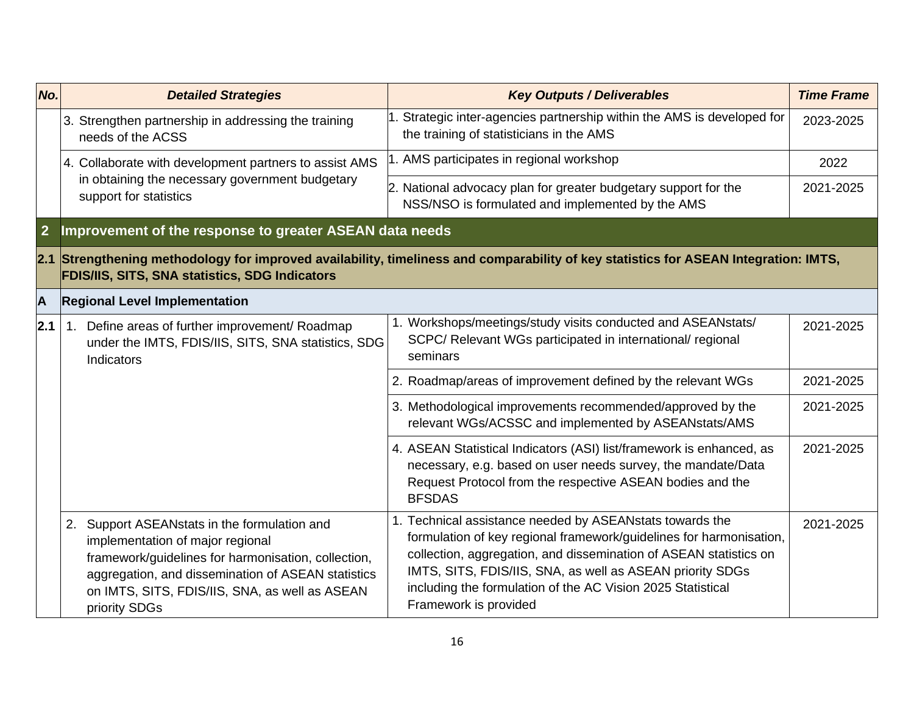| No.            | <b>Detailed Strategies</b>                                                                                                                                                                                                                                       | <b>Key Outputs / Deliverables</b>                                                                                                                                                                                                                                                                                                                         | <b>Time Frame</b> |
|----------------|------------------------------------------------------------------------------------------------------------------------------------------------------------------------------------------------------------------------------------------------------------------|-----------------------------------------------------------------------------------------------------------------------------------------------------------------------------------------------------------------------------------------------------------------------------------------------------------------------------------------------------------|-------------------|
|                | 3. Strengthen partnership in addressing the training<br>needs of the ACSS                                                                                                                                                                                        | Strategic inter-agencies partnership within the AMS is developed for<br>the training of statisticians in the AMS                                                                                                                                                                                                                                          | 2023-2025         |
|                | 4. Collaborate with development partners to assist AMS                                                                                                                                                                                                           | AMS participates in regional workshop                                                                                                                                                                                                                                                                                                                     | 2022              |
|                | in obtaining the necessary government budgetary<br>support for statistics                                                                                                                                                                                        | 2. National advocacy plan for greater budgetary support for the<br>NSS/NSO is formulated and implemented by the AMS                                                                                                                                                                                                                                       | 2021-2025         |
| $\overline{2}$ | Improvement of the response to greater ASEAN data needs                                                                                                                                                                                                          |                                                                                                                                                                                                                                                                                                                                                           |                   |
|                | <b>FDIS/IIS, SITS, SNA statistics, SDG Indicators</b>                                                                                                                                                                                                            | 2.1 Strengthening methodology for improved availability, timeliness and comparability of key statistics for ASEAN Integration: IMTS,                                                                                                                                                                                                                      |                   |
| A              | <b>Regional Level Implementation</b>                                                                                                                                                                                                                             |                                                                                                                                                                                                                                                                                                                                                           |                   |
| 2.1            | 1. Define areas of further improvement/ Roadmap<br>under the IMTS, FDIS/IIS, SITS, SNA statistics, SDG<br>Indicators                                                                                                                                             | 1. Workshops/meetings/study visits conducted and ASEANstats/<br>SCPC/ Relevant WGs participated in international/ regional<br>seminars                                                                                                                                                                                                                    | 2021-2025         |
|                |                                                                                                                                                                                                                                                                  | 2. Roadmap/areas of improvement defined by the relevant WGs                                                                                                                                                                                                                                                                                               | 2021-2025         |
|                |                                                                                                                                                                                                                                                                  | 3. Methodological improvements recommended/approved by the<br>relevant WGs/ACSSC and implemented by ASEANstats/AMS                                                                                                                                                                                                                                        | 2021-2025         |
|                |                                                                                                                                                                                                                                                                  | 4. ASEAN Statistical Indicators (ASI) list/framework is enhanced, as<br>necessary, e.g. based on user needs survey, the mandate/Data<br>Request Protocol from the respective ASEAN bodies and the<br><b>BFSDAS</b>                                                                                                                                        | 2021-2025         |
|                | 2. Support ASEANstats in the formulation and<br>implementation of major regional<br>framework/guidelines for harmonisation, collection,<br>aggregation, and dissemination of ASEAN statistics<br>on IMTS, SITS, FDIS/IIS, SNA, as well as ASEAN<br>priority SDGs | 1. Technical assistance needed by ASEANstats towards the<br>formulation of key regional framework/guidelines for harmonisation,<br>collection, aggregation, and dissemination of ASEAN statistics on<br>IMTS, SITS, FDIS/IIS, SNA, as well as ASEAN priority SDGs<br>including the formulation of the AC Vision 2025 Statistical<br>Framework is provided | 2021-2025         |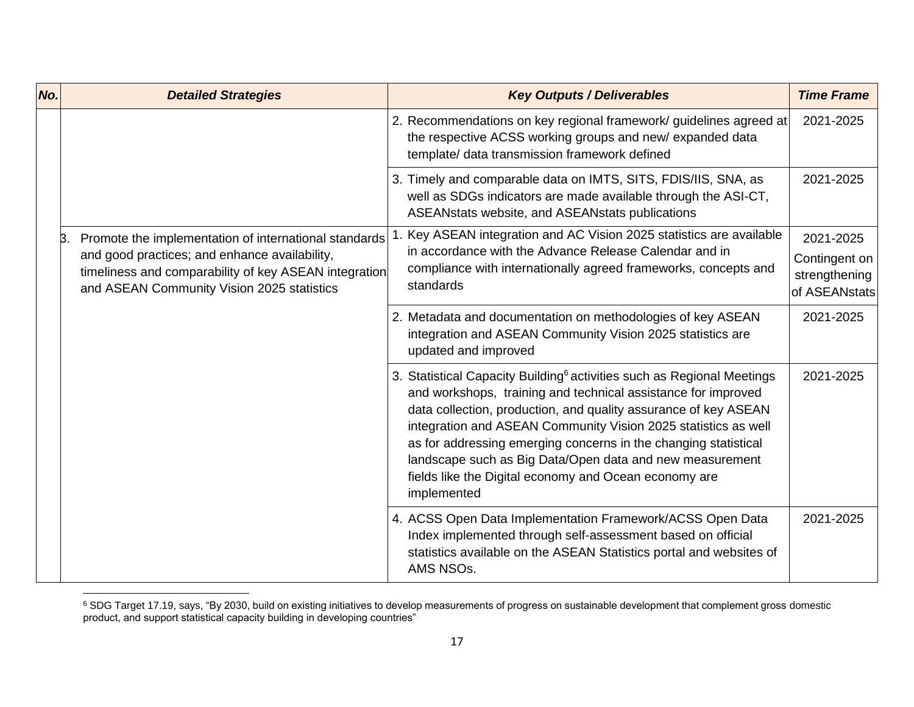| No. | <b>Detailed Strategies</b>                                                                                                                                                                                          | <b>Key Outputs / Deliverables</b>                                                                                                                                                                                                                                                                                                                                                                                                                                                               | <b>Time Frame</b>                                            |
|-----|---------------------------------------------------------------------------------------------------------------------------------------------------------------------------------------------------------------------|-------------------------------------------------------------------------------------------------------------------------------------------------------------------------------------------------------------------------------------------------------------------------------------------------------------------------------------------------------------------------------------------------------------------------------------------------------------------------------------------------|--------------------------------------------------------------|
|     |                                                                                                                                                                                                                     | 2. Recommendations on key regional framework/ guidelines agreed at<br>the respective ACSS working groups and new/expanded data<br>template/ data transmission framework defined                                                                                                                                                                                                                                                                                                                 | 2021-2025                                                    |
|     |                                                                                                                                                                                                                     | 3. Timely and comparable data on IMTS, SITS, FDIS/IIS, SNA, as<br>well as SDGs indicators are made available through the ASI-CT,<br>ASEANstats website, and ASEANstats publications                                                                                                                                                                                                                                                                                                             | 2021-2025                                                    |
|     | Promote the implementation of international standards<br>Β.<br>and good practices; and enhance availability,<br>timeliness and comparability of key ASEAN integration<br>and ASEAN Community Vision 2025 statistics | Key ASEAN integration and AC Vision 2025 statistics are available<br>in accordance with the Advance Release Calendar and in<br>compliance with internationally agreed frameworks, concepts and<br>standards                                                                                                                                                                                                                                                                                     | 2021-2025<br>Contingent on<br>strengthening<br>of ASEANstats |
|     |                                                                                                                                                                                                                     | 2. Metadata and documentation on methodologies of key ASEAN<br>integration and ASEAN Community Vision 2025 statistics are<br>updated and improved                                                                                                                                                                                                                                                                                                                                               | 2021-2025                                                    |
|     |                                                                                                                                                                                                                     | 3. Statistical Capacity Building <sup>6</sup> activities such as Regional Meetings<br>and workshops, training and technical assistance for improved<br>data collection, production, and quality assurance of key ASEAN<br>integration and ASEAN Community Vision 2025 statistics as well<br>as for addressing emerging concerns in the changing statistical<br>landscape such as Big Data/Open data and new measurement<br>fields like the Digital economy and Ocean economy are<br>implemented | 2021-2025                                                    |
|     |                                                                                                                                                                                                                     | 4. ACSS Open Data Implementation Framework/ACSS Open Data<br>Index implemented through self-assessment based on official<br>statistics available on the ASEAN Statistics portal and websites of<br>AMS NSOs.                                                                                                                                                                                                                                                                                    | 2021-2025                                                    |

<sup>&</sup>lt;sup>6</sup> SDG Target 17.19, says, "By 2030, build on existing initiatives to develop measurements of progress on sustainable development that complement gross domestic product, and support statistical capacity building in developing countries"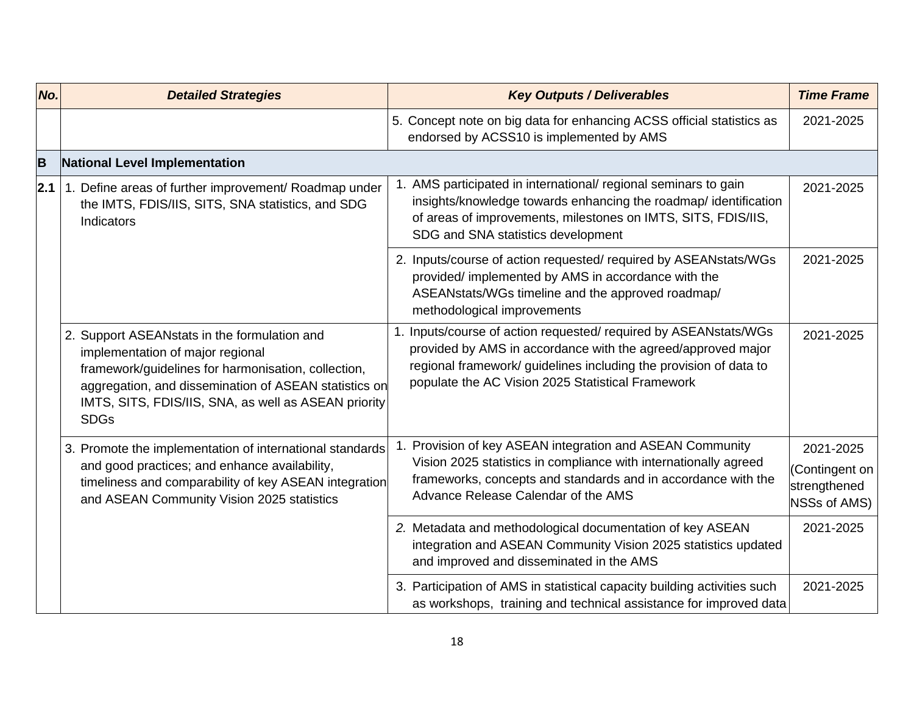| No. | <b>Detailed Strategies</b>                                                                                                                                                                                                                                              | <b>Key Outputs / Deliverables</b>                                                                                                                                                                                                                          | <b>Time Frame</b>                                                  |
|-----|-------------------------------------------------------------------------------------------------------------------------------------------------------------------------------------------------------------------------------------------------------------------------|------------------------------------------------------------------------------------------------------------------------------------------------------------------------------------------------------------------------------------------------------------|--------------------------------------------------------------------|
|     |                                                                                                                                                                                                                                                                         | 5. Concept note on big data for enhancing ACSS official statistics as<br>endorsed by ACSS10 is implemented by AMS                                                                                                                                          | 2021-2025                                                          |
| B   | National Level Implementation                                                                                                                                                                                                                                           |                                                                                                                                                                                                                                                            |                                                                    |
| 2.1 | 1. Define areas of further improvement/ Roadmap under<br>the IMTS, FDIS/IIS, SITS, SNA statistics, and SDG<br>Indicators                                                                                                                                                | 1. AMS participated in international/ regional seminars to gain<br>insights/knowledge towards enhancing the roadmap/ identification<br>of areas of improvements, milestones on IMTS, SITS, FDIS/IIS,<br>SDG and SNA statistics development                 | 2021-2025                                                          |
|     |                                                                                                                                                                                                                                                                         | 2. Inputs/course of action requested/ required by ASEANstats/WGs<br>provided/ implemented by AMS in accordance with the<br>ASEANstats/WGs timeline and the approved roadmap/<br>methodological improvements                                                | 2021-2025                                                          |
|     | 2. Support ASEANstats in the formulation and<br>implementation of major regional<br>framework/guidelines for harmonisation, collection,<br>aggregation, and dissemination of ASEAN statistics on<br>IMTS, SITS, FDIS/IIS, SNA, as well as ASEAN priority<br><b>SDGs</b> | 1. Inputs/course of action requested/ required by ASEANstats/WGs<br>provided by AMS in accordance with the agreed/approved major<br>regional framework/ guidelines including the provision of data to<br>populate the AC Vision 2025 Statistical Framework | 2021-2025                                                          |
|     | 3. Promote the implementation of international standards<br>and good practices; and enhance availability,<br>timeliness and comparability of key ASEAN integration<br>and ASEAN Community Vision 2025 statistics                                                        | Provision of key ASEAN integration and ASEAN Community<br>1.<br>Vision 2025 statistics in compliance with internationally agreed<br>frameworks, concepts and standards and in accordance with the<br>Advance Release Calendar of the AMS                   | 2021-2025<br>(Contingent on<br>strengthened<br><b>NSSs of AMS)</b> |
|     |                                                                                                                                                                                                                                                                         | 2. Metadata and methodological documentation of key ASEAN<br>integration and ASEAN Community Vision 2025 statistics updated<br>and improved and disseminated in the AMS                                                                                    | 2021-2025                                                          |
|     |                                                                                                                                                                                                                                                                         | 3. Participation of AMS in statistical capacity building activities such<br>as workshops, training and technical assistance for improved data                                                                                                              | 2021-2025                                                          |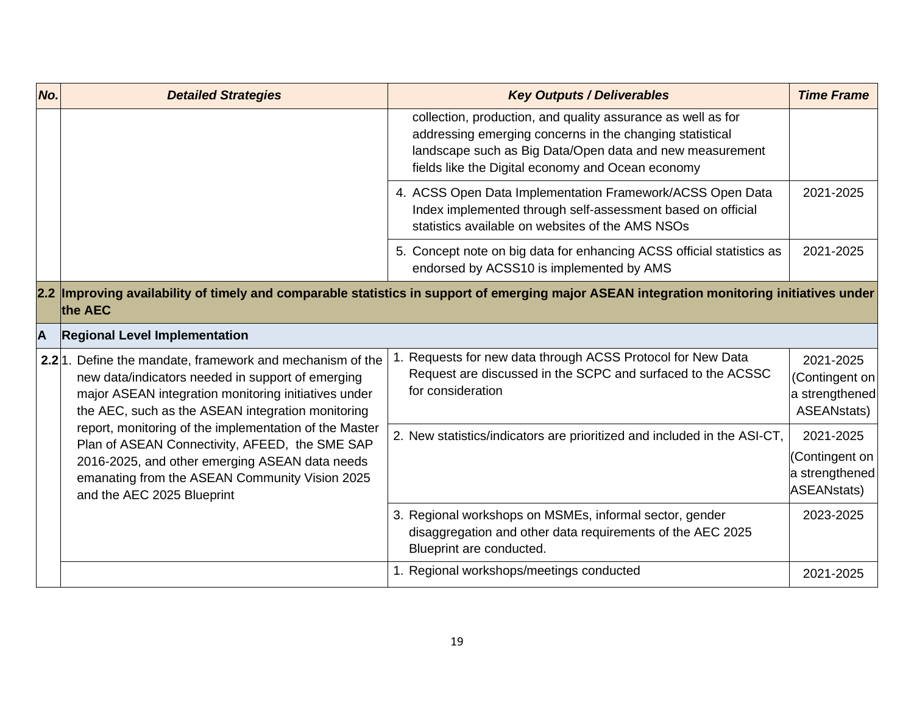| No.                     | <b>Detailed Strategies</b>                                                                                                                                                                                                                 | <b>Key Outputs / Deliverables</b>                                                                                                                                                                                                         | <b>Time Frame</b>                                                   |
|-------------------------|--------------------------------------------------------------------------------------------------------------------------------------------------------------------------------------------------------------------------------------------|-------------------------------------------------------------------------------------------------------------------------------------------------------------------------------------------------------------------------------------------|---------------------------------------------------------------------|
|                         |                                                                                                                                                                                                                                            | collection, production, and quality assurance as well as for<br>addressing emerging concerns in the changing statistical<br>landscape such as Big Data/Open data and new measurement<br>fields like the Digital economy and Ocean economy |                                                                     |
|                         |                                                                                                                                                                                                                                            | 4. ACSS Open Data Implementation Framework/ACSS Open Data<br>Index implemented through self-assessment based on official<br>statistics available on websites of the AMS NSOs                                                              | 2021-2025                                                           |
|                         |                                                                                                                                                                                                                                            | 5. Concept note on big data for enhancing ACSS official statistics as<br>endorsed by ACSS10 is implemented by AMS                                                                                                                         | 2021-2025                                                           |
|                         | the AEC                                                                                                                                                                                                                                    | 2.2 Improving availability of timely and comparable statistics in support of emerging major ASEAN integration monitoring initiatives under                                                                                                |                                                                     |
| $\overline{\mathsf{A}}$ | <b>Regional Level Implementation</b>                                                                                                                                                                                                       |                                                                                                                                                                                                                                           |                                                                     |
|                         | 2.2 <sup>1</sup> . Define the mandate, framework and mechanism of the<br>new data/indicators needed in support of emerging<br>major ASEAN integration monitoring initiatives under<br>the AEC, such as the ASEAN integration monitoring    | Requests for new data through ACSS Protocol for New Data<br>Request are discussed in the SCPC and surfaced to the ACSSC<br>for consideration                                                                                              | 2021-2025<br>(Contingent on<br>a strengthened<br><b>ASEANstats)</b> |
|                         | report, monitoring of the implementation of the Master<br>Plan of ASEAN Connectivity, AFEED, the SME SAP<br>2016-2025, and other emerging ASEAN data needs<br>emanating from the ASEAN Community Vision 2025<br>and the AEC 2025 Blueprint | 2. New statistics/indicators are prioritized and included in the ASI-CT,                                                                                                                                                                  | 2021-2025<br>(Contingent on<br>a strengthened<br>ASEANstats)        |
|                         |                                                                                                                                                                                                                                            | 3. Regional workshops on MSMEs, informal sector, gender<br>disaggregation and other data requirements of the AEC 2025<br>Blueprint are conducted.                                                                                         | 2023-2025                                                           |
|                         |                                                                                                                                                                                                                                            | 1. Regional workshops/meetings conducted                                                                                                                                                                                                  | 2021-2025                                                           |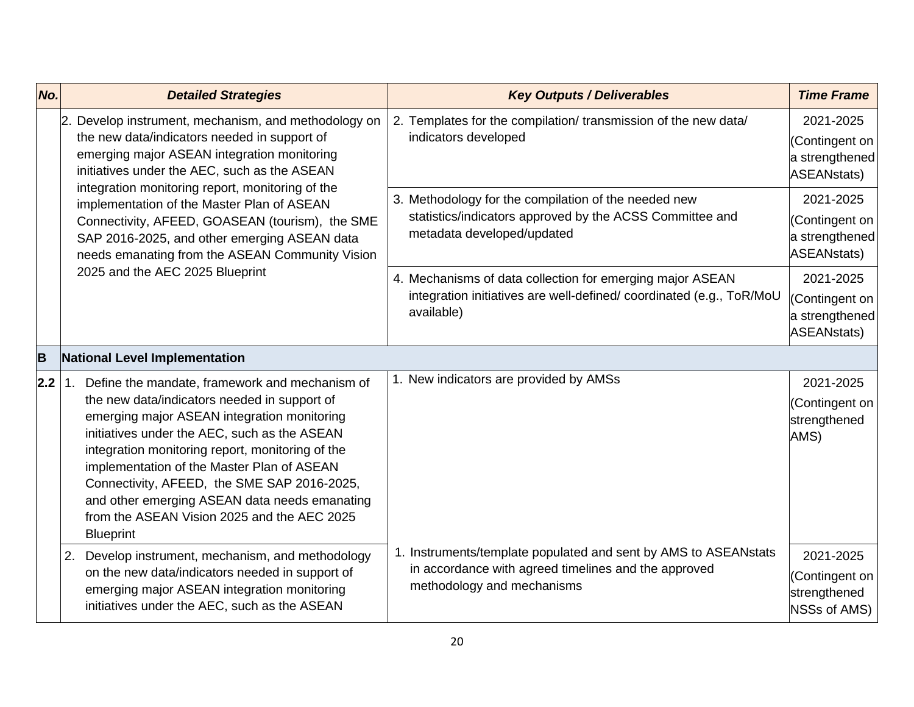| No. | <b>Detailed Strategies</b>                                                                                                                                                                                                                                                                                                                                                                                                                                               | <b>Key Outputs / Deliverables</b>                                                                                                                     | <b>Time Frame</b>                                                   |
|-----|--------------------------------------------------------------------------------------------------------------------------------------------------------------------------------------------------------------------------------------------------------------------------------------------------------------------------------------------------------------------------------------------------------------------------------------------------------------------------|-------------------------------------------------------------------------------------------------------------------------------------------------------|---------------------------------------------------------------------|
|     | Develop instrument, mechanism, and methodology on<br>l2.<br>the new data/indicators needed in support of<br>emerging major ASEAN integration monitoring<br>initiatives under the AEC, such as the ASEAN                                                                                                                                                                                                                                                                  | 2. Templates for the compilation/ transmission of the new data/<br>indicators developed                                                               | 2021-2025<br>(Contingent on<br>a strengthened<br><b>ASEANstats)</b> |
|     | integration monitoring report, monitoring of the<br>implementation of the Master Plan of ASEAN<br>Connectivity, AFEED, GOASEAN (tourism), the SME<br>SAP 2016-2025, and other emerging ASEAN data<br>needs emanating from the ASEAN Community Vision                                                                                                                                                                                                                     | 3. Methodology for the compilation of the needed new<br>statistics/indicators approved by the ACSS Committee and<br>metadata developed/updated        | 2021-2025<br>(Contingent on<br>a strengthened<br>ASEANstats)        |
|     | 2025 and the AEC 2025 Blueprint                                                                                                                                                                                                                                                                                                                                                                                                                                          | 4. Mechanisms of data collection for emerging major ASEAN<br>integration initiatives are well-defined/coordinated (e.g., ToR/MoU<br>available)        | 2021-2025<br>(Contingent on<br>a strengthened<br>ASEANstats)        |
| B   | National Level Implementation                                                                                                                                                                                                                                                                                                                                                                                                                                            |                                                                                                                                                       |                                                                     |
| 2.2 | Define the mandate, framework and mechanism of<br>1.<br>the new data/indicators needed in support of<br>emerging major ASEAN integration monitoring<br>initiatives under the AEC, such as the ASEAN<br>integration monitoring report, monitoring of the<br>implementation of the Master Plan of ASEAN<br>Connectivity, AFEED, the SME SAP 2016-2025,<br>and other emerging ASEAN data needs emanating<br>from the ASEAN Vision 2025 and the AEC 2025<br><b>Blueprint</b> | 1. New indicators are provided by AMSs                                                                                                                | 2021-2025<br>(Contingent on<br>strengthened<br>AMS)                 |
|     | 2. Develop instrument, mechanism, and methodology<br>on the new data/indicators needed in support of<br>emerging major ASEAN integration monitoring<br>initiatives under the AEC, such as the ASEAN                                                                                                                                                                                                                                                                      | 1. Instruments/template populated and sent by AMS to ASEANstats<br>in accordance with agreed timelines and the approved<br>methodology and mechanisms | 2021-2025<br>(Contingent on<br>strengthened<br>NSSs of AMS)         |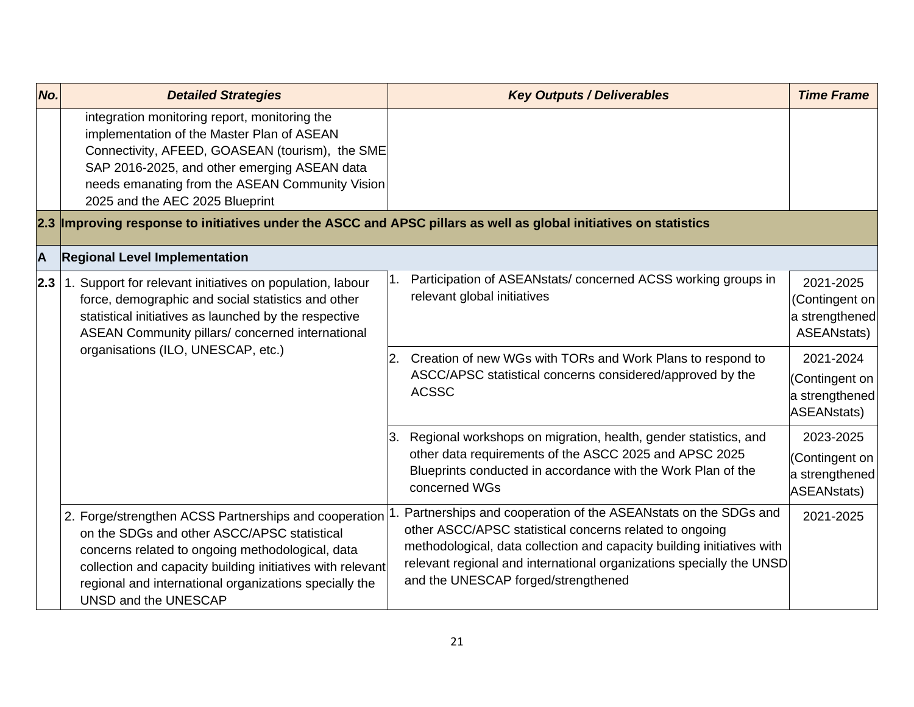| No. | <b>Detailed Strategies</b>                                                                                                                                                                                                                                                                               | <b>Key Outputs / Deliverables</b>                                                                                                                                                                                                                                                                                  | <b>Time Frame</b>                                                   |
|-----|----------------------------------------------------------------------------------------------------------------------------------------------------------------------------------------------------------------------------------------------------------------------------------------------------------|--------------------------------------------------------------------------------------------------------------------------------------------------------------------------------------------------------------------------------------------------------------------------------------------------------------------|---------------------------------------------------------------------|
|     | integration monitoring report, monitoring the<br>implementation of the Master Plan of ASEAN<br>Connectivity, AFEED, GOASEAN (tourism), the SME<br>SAP 2016-2025, and other emerging ASEAN data<br>needs emanating from the ASEAN Community Vision<br>2025 and the AEC 2025 Blueprint                     |                                                                                                                                                                                                                                                                                                                    |                                                                     |
|     | 2.3 Improving response to initiatives under the ASCC and APSC pillars as well as global initiatives on statistics                                                                                                                                                                                        |                                                                                                                                                                                                                                                                                                                    |                                                                     |
| A   | <b>Regional Level Implementation</b>                                                                                                                                                                                                                                                                     |                                                                                                                                                                                                                                                                                                                    |                                                                     |
| 2.3 | 1. Support for relevant initiatives on population, labour<br>force, demographic and social statistics and other<br>statistical initiatives as launched by the respective<br>ASEAN Community pillars/ concerned international<br>organisations (ILO, UNESCAP, etc.)<br>2.<br>3.                           | Participation of ASEANstats/concerned ACSS working groups in<br>relevant global initiatives                                                                                                                                                                                                                        | 2021-2025<br>(Contingent on<br>a strengthened<br><b>ASEANstats)</b> |
|     |                                                                                                                                                                                                                                                                                                          | Creation of new WGs with TORs and Work Plans to respond to<br>ASCC/APSC statistical concerns considered/approved by the<br><b>ACSSC</b>                                                                                                                                                                            | 2021-2024<br>(Contingent on<br>a strengthened<br>ASEANstats)        |
|     |                                                                                                                                                                                                                                                                                                          | Regional workshops on migration, health, gender statistics, and<br>other data requirements of the ASCC 2025 and APSC 2025<br>Blueprints conducted in accordance with the Work Plan of the<br>concerned WGs                                                                                                         | 2023-2025<br>(Contingent on<br>a strengthened<br>ASEANstats)        |
|     | 2. Forge/strengthen ACSS Partnerships and cooperation<br>on the SDGs and other ASCC/APSC statistical<br>concerns related to ongoing methodological, data<br>collection and capacity building initiatives with relevant<br>regional and international organizations specially the<br>UNSD and the UNESCAP | Partnerships and cooperation of the ASEANstats on the SDGs and<br>other ASCC/APSC statistical concerns related to ongoing<br>methodological, data collection and capacity building initiatives with<br>relevant regional and international organizations specially the UNSD<br>and the UNESCAP forged/strengthened | 2021-2025                                                           |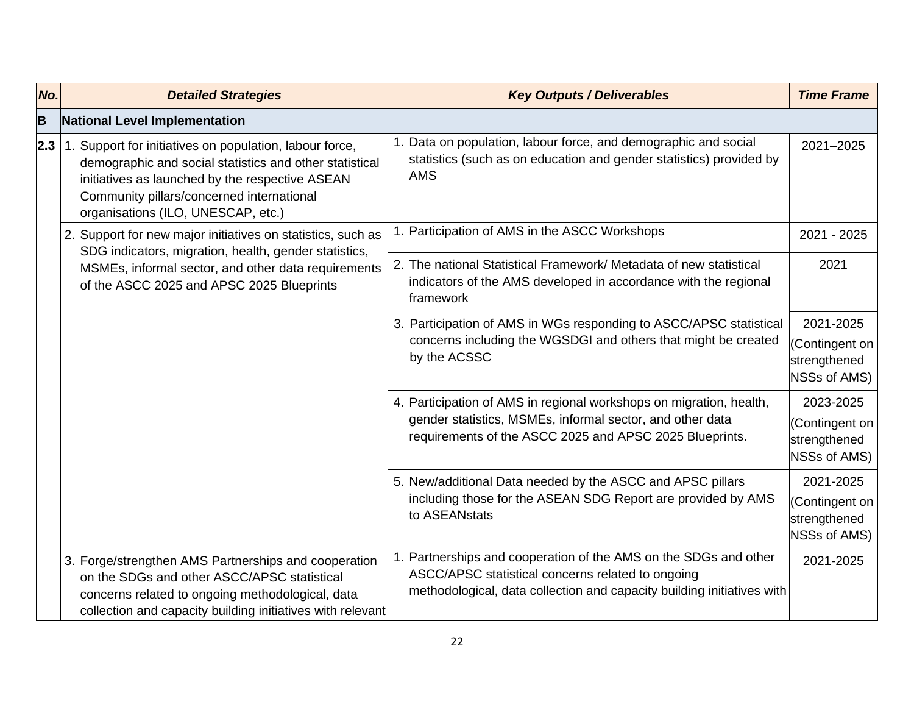| No. | <b>Detailed Strategies</b>                                                                                                                                                                                                                               | <b>Key Outputs / Deliverables</b>                                                                                                                    | <b>Time Frame</b>                                     |
|-----|----------------------------------------------------------------------------------------------------------------------------------------------------------------------------------------------------------------------------------------------------------|------------------------------------------------------------------------------------------------------------------------------------------------------|-------------------------------------------------------|
| B   | National Level Implementation                                                                                                                                                                                                                            |                                                                                                                                                      |                                                       |
| 2.3 | 1. Support for initiatives on population, labour force,<br>demographic and social statistics and other statistical<br>initiatives as launched by the respective ASEAN<br>Community pillars/concerned international<br>organisations (ILO, UNESCAP, etc.) | 1. Data on population, labour force, and demographic and social<br>statistics (such as on education and gender statistics) provided by<br><b>AMS</b> | 2021-2025                                             |
|     | 2. Support for new major initiatives on statistics, such as<br>SDG indicators, migration, health, gender statistics,                                                                                                                                     | 1. Participation of AMS in the ASCC Workshops                                                                                                        | 2021 - 2025                                           |
|     | MSMEs, informal sector, and other data requirements<br>of the ASCC 2025 and APSC 2025 Blueprints                                                                                                                                                         | 2. The national Statistical Framework/ Metadata of new statistical<br>indicators of the AMS developed in accordance with the regional<br>framework   | 2021                                                  |
|     |                                                                                                                                                                                                                                                          | 3. Participation of AMS in WGs responding to ASCC/APSC statistical<br>concerns including the WGSDGI and others that might be created<br>by the ACSSC | 2021-2025                                             |
|     |                                                                                                                                                                                                                                                          |                                                                                                                                                      | (Contingent on<br>strengthened<br><b>NSSs of AMS)</b> |
|     |                                                                                                                                                                                                                                                          | 4. Participation of AMS in regional workshops on migration, health,                                                                                  | 2023-2025                                             |
|     |                                                                                                                                                                                                                                                          | gender statistics, MSMEs, informal sector, and other data<br>requirements of the ASCC 2025 and APSC 2025 Blueprints.                                 | (Contingent on<br>strengthened<br><b>NSSs of AMS)</b> |
|     |                                                                                                                                                                                                                                                          | 5. New/additional Data needed by the ASCC and APSC pillars                                                                                           | 2021-2025                                             |
|     |                                                                                                                                                                                                                                                          | including those for the ASEAN SDG Report are provided by AMS<br>to ASEANstats                                                                        | (Contingent on<br>strengthened<br><b>NSSs of AMS)</b> |
|     | 3. Forge/strengthen AMS Partnerships and cooperation<br>on the SDGs and other ASCC/APSC statistical                                                                                                                                                      | 1. Partnerships and cooperation of the AMS on the SDGs and other<br>ASCC/APSC statistical concerns related to ongoing                                | 2021-2025                                             |
|     | concerns related to ongoing methodological, data<br>collection and capacity building initiatives with relevant                                                                                                                                           | methodological, data collection and capacity building initiatives with                                                                               |                                                       |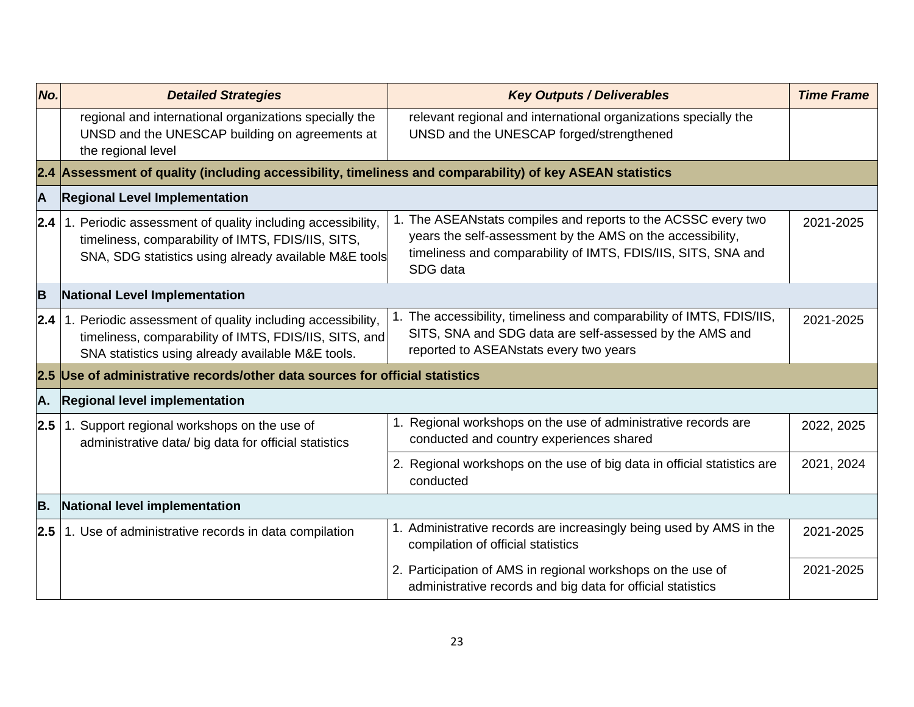| No. | <b>Detailed Strategies</b>                                                                                                                                                             | <b>Key Outputs / Deliverables</b>                                                                                                                                                                        | <b>Time Frame</b> |
|-----|----------------------------------------------------------------------------------------------------------------------------------------------------------------------------------------|----------------------------------------------------------------------------------------------------------------------------------------------------------------------------------------------------------|-------------------|
|     | regional and international organizations specially the<br>UNSD and the UNESCAP building on agreements at<br>the regional level                                                         | relevant regional and international organizations specially the<br>UNSD and the UNESCAP forged/strengthened                                                                                              |                   |
|     | 2.4 Assessment of quality (including accessibility, timeliness and comparability) of key ASEAN statistics                                                                              |                                                                                                                                                                                                          |                   |
| A   | <b>Regional Level Implementation</b>                                                                                                                                                   |                                                                                                                                                                                                          |                   |
| 2.4 | 1. Periodic assessment of quality including accessibility,<br>timeliness, comparability of IMTS, FDIS/IIS, SITS,<br>SNA, SDG statistics using already available M&E tools              | 1. The ASEANstats compiles and reports to the ACSSC every two<br>years the self-assessment by the AMS on the accessibility,<br>timeliness and comparability of IMTS, FDIS/IIS, SITS, SNA and<br>SDG data | 2021-2025         |
| B   | <b>National Level Implementation</b>                                                                                                                                                   |                                                                                                                                                                                                          |                   |
|     | <b>2.4</b>   1. Periodic assessment of quality including accessibility,<br>timeliness, comparability of IMTS, FDIS/IIS, SITS, and<br>SNA statistics using already available M&E tools. | 1. The accessibility, timeliness and comparability of IMTS, FDIS/IIS,<br>SITS, SNA and SDG data are self-assessed by the AMS and<br>reported to ASEANstats every two years                               | 2021-2025         |
|     | 2.5 Use of administrative records/other data sources for official statistics                                                                                                           |                                                                                                                                                                                                          |                   |
| A.  | <b>Regional level implementation</b>                                                                                                                                                   |                                                                                                                                                                                                          |                   |
| 2.5 | 1. Support regional workshops on the use of<br>administrative data/ big data for official statistics                                                                                   | 1. Regional workshops on the use of administrative records are<br>conducted and country experiences shared                                                                                               | 2022, 2025        |
|     |                                                                                                                                                                                        | 2. Regional workshops on the use of big data in official statistics are<br>conducted                                                                                                                     | 2021, 2024        |
| B.  | National level implementation                                                                                                                                                          |                                                                                                                                                                                                          |                   |
|     | $2.5$   1. Use of administrative records in data compilation                                                                                                                           | 1. Administrative records are increasingly being used by AMS in the<br>compilation of official statistics                                                                                                | 2021-2025         |
|     |                                                                                                                                                                                        | 2. Participation of AMS in regional workshops on the use of<br>administrative records and big data for official statistics                                                                               | 2021-2025         |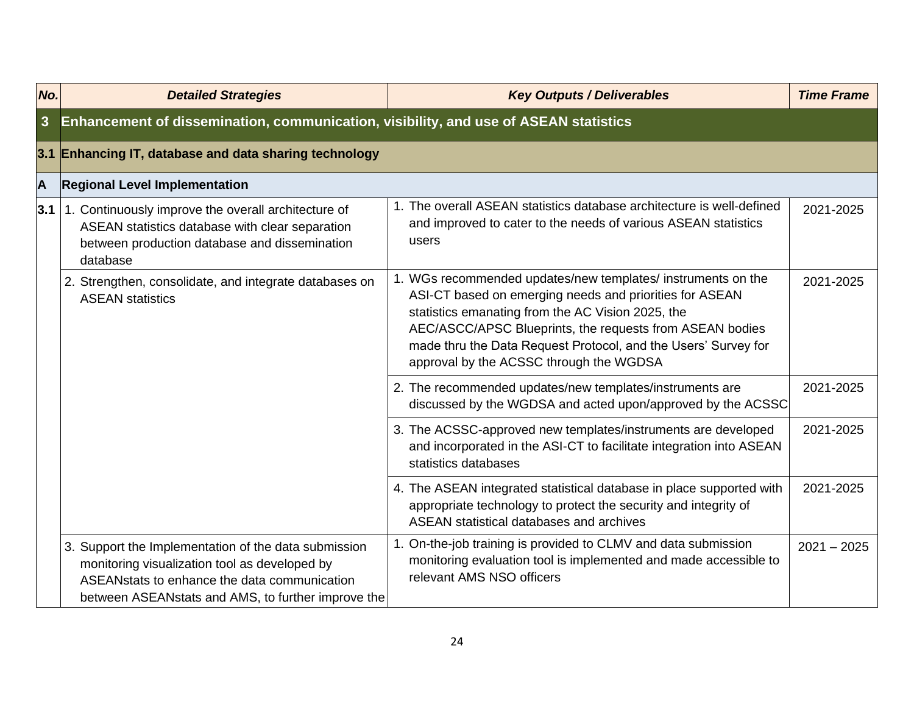| No.        | <b>Detailed Strategies</b>                                                                                                                                                                                   | <b>Key Outputs / Deliverables</b>                                                                                                                                                                                                                                                                                                                     | <b>Time Frame</b> |
|------------|--------------------------------------------------------------------------------------------------------------------------------------------------------------------------------------------------------------|-------------------------------------------------------------------------------------------------------------------------------------------------------------------------------------------------------------------------------------------------------------------------------------------------------------------------------------------------------|-------------------|
| 3          | Enhancement of dissemination, communication, visibility, and use of ASEAN statistics                                                                                                                         |                                                                                                                                                                                                                                                                                                                                                       |                   |
|            | 3.1 Enhancing IT, database and data sharing technology                                                                                                                                                       |                                                                                                                                                                                                                                                                                                                                                       |                   |
| A          | <b>Regional Level Implementation</b>                                                                                                                                                                         |                                                                                                                                                                                                                                                                                                                                                       |                   |
| $3.1 \mid$ | 1. Continuously improve the overall architecture of<br>ASEAN statistics database with clear separation<br>between production database and dissemination<br>database                                          | 1. The overall ASEAN statistics database architecture is well-defined<br>and improved to cater to the needs of various ASEAN statistics<br>users                                                                                                                                                                                                      | 2021-2025         |
|            | 2. Strengthen, consolidate, and integrate databases on<br><b>ASEAN statistics</b>                                                                                                                            | 1. WGs recommended updates/new templates/ instruments on the<br>ASI-CT based on emerging needs and priorities for ASEAN<br>statistics emanating from the AC Vision 2025, the<br>AEC/ASCC/APSC Blueprints, the requests from ASEAN bodies<br>made thru the Data Request Protocol, and the Users' Survey for<br>approval by the ACSSC through the WGDSA | 2021-2025         |
|            |                                                                                                                                                                                                              | 2. The recommended updates/new templates/instruments are<br>discussed by the WGDSA and acted upon/approved by the ACSSC                                                                                                                                                                                                                               | 2021-2025         |
|            |                                                                                                                                                                                                              | 3. The ACSSC-approved new templates/instruments are developed<br>and incorporated in the ASI-CT to facilitate integration into ASEAN<br>statistics databases                                                                                                                                                                                          | 2021-2025         |
|            |                                                                                                                                                                                                              | 4. The ASEAN integrated statistical database in place supported with<br>appropriate technology to protect the security and integrity of<br>ASEAN statistical databases and archives                                                                                                                                                                   | 2021-2025         |
|            | 3. Support the Implementation of the data submission<br>monitoring visualization tool as developed by<br>ASEAN stats to enhance the data communication<br>between ASEANstats and AMS, to further improve the | 1. On-the-job training is provided to CLMV and data submission<br>monitoring evaluation tool is implemented and made accessible to<br>relevant AMS NSO officers                                                                                                                                                                                       | $2021 - 2025$     |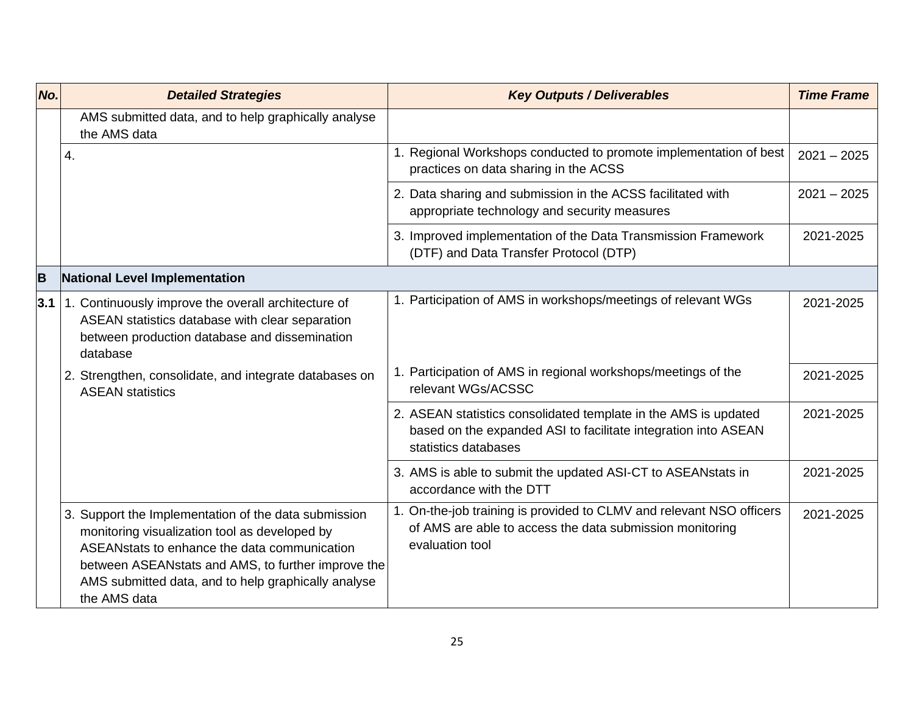| No. | <b>Detailed Strategies</b>                                                                                                                                                                                                                                                          | <b>Key Outputs / Deliverables</b>                                                                                                                         | <b>Time Frame</b> |
|-----|-------------------------------------------------------------------------------------------------------------------------------------------------------------------------------------------------------------------------------------------------------------------------------------|-----------------------------------------------------------------------------------------------------------------------------------------------------------|-------------------|
|     | AMS submitted data, and to help graphically analyse<br>the AMS data                                                                                                                                                                                                                 |                                                                                                                                                           |                   |
|     | 4.                                                                                                                                                                                                                                                                                  | 1. Regional Workshops conducted to promote implementation of best<br>practices on data sharing in the ACSS                                                | $2021 - 2025$     |
|     |                                                                                                                                                                                                                                                                                     | 2. Data sharing and submission in the ACSS facilitated with<br>appropriate technology and security measures                                               | $2021 - 2025$     |
|     |                                                                                                                                                                                                                                                                                     | 3. Improved implementation of the Data Transmission Framework<br>(DTF) and Data Transfer Protocol (DTP)                                                   | 2021-2025         |
| B   | National Level Implementation                                                                                                                                                                                                                                                       |                                                                                                                                                           |                   |
| 3.1 | 1. Continuously improve the overall architecture of<br>ASEAN statistics database with clear separation<br>between production database and dissemination<br>database                                                                                                                 | 1. Participation of AMS in workshops/meetings of relevant WGs                                                                                             | 2021-2025         |
|     | 2. Strengthen, consolidate, and integrate databases on<br><b>ASEAN statistics</b>                                                                                                                                                                                                   | 1. Participation of AMS in regional workshops/meetings of the<br>relevant WGs/ACSSC                                                                       | 2021-2025         |
|     |                                                                                                                                                                                                                                                                                     | 2. ASEAN statistics consolidated template in the AMS is updated<br>based on the expanded ASI to facilitate integration into ASEAN<br>statistics databases | 2021-2025         |
|     |                                                                                                                                                                                                                                                                                     | 3. AMS is able to submit the updated ASI-CT to ASEANstats in<br>accordance with the DTT                                                                   | 2021-2025         |
|     | 3. Support the Implementation of the data submission<br>monitoring visualization tool as developed by<br>ASEAN stats to enhance the data communication<br>between ASEANstats and AMS, to further improve the<br>AMS submitted data, and to help graphically analyse<br>the AMS data | 1. On-the-job training is provided to CLMV and relevant NSO officers<br>of AMS are able to access the data submission monitoring<br>evaluation tool       | 2021-2025         |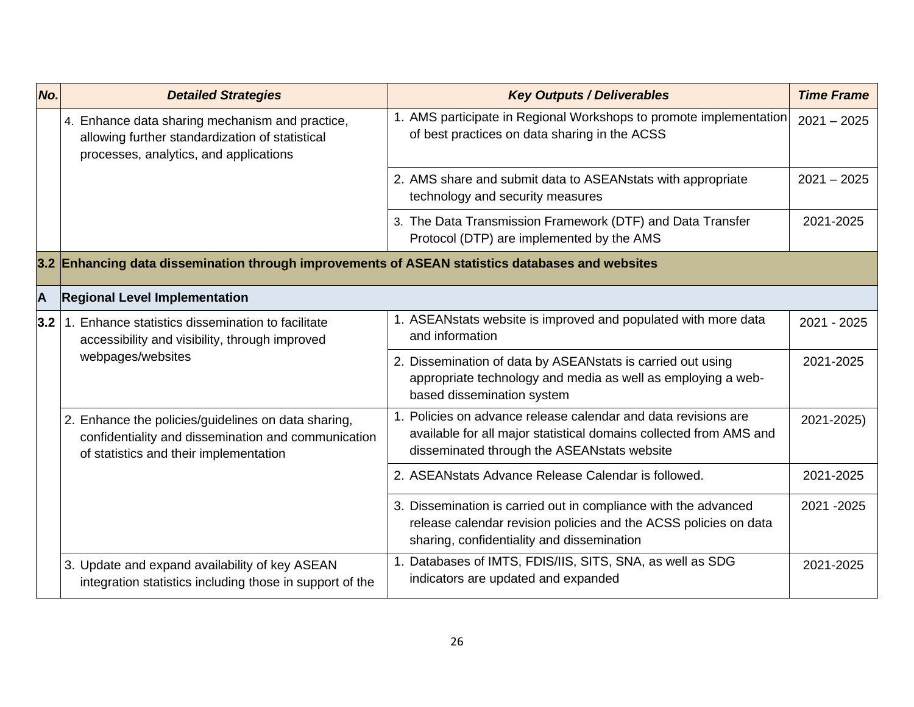| No. | <b>Detailed Strategies</b>                                                                                                                           | <b>Key Outputs / Deliverables</b>                                                                                                                                                   | <b>Time Frame</b> |
|-----|------------------------------------------------------------------------------------------------------------------------------------------------------|-------------------------------------------------------------------------------------------------------------------------------------------------------------------------------------|-------------------|
|     | 4. Enhance data sharing mechanism and practice,<br>allowing further standardization of statistical<br>processes, analytics, and applications         | 1. AMS participate in Regional Workshops to promote implementation<br>of best practices on data sharing in the ACSS                                                                 | $2021 - 2025$     |
|     |                                                                                                                                                      | 2. AMS share and submit data to ASEANstats with appropriate<br>technology and security measures                                                                                     | $2021 - 2025$     |
|     |                                                                                                                                                      | 3. The Data Transmission Framework (DTF) and Data Transfer<br>Protocol (DTP) are implemented by the AMS                                                                             | 2021-2025         |
|     | 3.2 Enhancing data dissemination through improvements of ASEAN statistics databases and websites                                                     |                                                                                                                                                                                     |                   |
| A   | <b>Regional Level Implementation</b>                                                                                                                 |                                                                                                                                                                                     |                   |
| 3.2 | 1. Enhance statistics dissemination to facilitate<br>accessibility and visibility, through improved                                                  | 1. ASEANstats website is improved and populated with more data<br>and information                                                                                                   | 2021 - 2025       |
|     | webpages/websites                                                                                                                                    | 2. Dissemination of data by ASEANstats is carried out using<br>appropriate technology and media as well as employing a web-<br>based dissemination system                           | 2021-2025         |
|     | 2. Enhance the policies/guidelines on data sharing,<br>confidentiality and dissemination and communication<br>of statistics and their implementation | 1. Policies on advance release calendar and data revisions are<br>available for all major statistical domains collected from AMS and<br>disseminated through the ASEANstats website | 2021-2025)        |
|     |                                                                                                                                                      | 2. ASEANstats Advance Release Calendar is followed.                                                                                                                                 | 2021-2025         |
|     |                                                                                                                                                      | 3. Dissemination is carried out in compliance with the advanced<br>release calendar revision policies and the ACSS policies on data<br>sharing, confidentiality and dissemination   | 2021 - 2025       |
|     | 3. Update and expand availability of key ASEAN<br>integration statistics including those in support of the                                           | 1. Databases of IMTS, FDIS/IIS, SITS, SNA, as well as SDG<br>indicators are updated and expanded                                                                                    | 2021-2025         |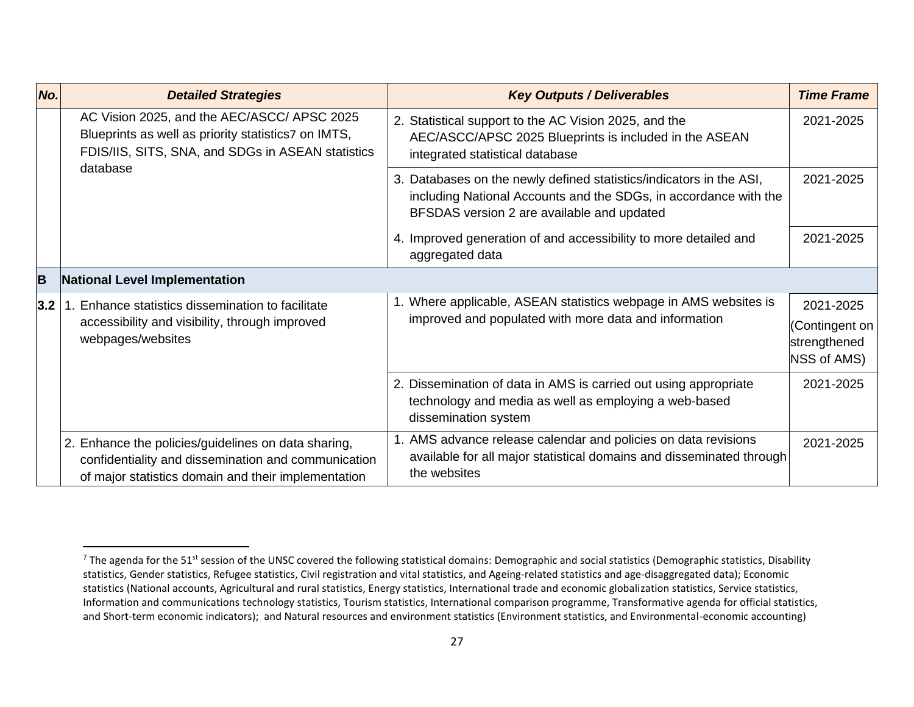| No. | <b>Detailed Strategies</b>                                                                                                                                        | <b>Key Outputs / Deliverables</b>                                                                                                                                                     | <b>Time Frame</b>                                          |
|-----|-------------------------------------------------------------------------------------------------------------------------------------------------------------------|---------------------------------------------------------------------------------------------------------------------------------------------------------------------------------------|------------------------------------------------------------|
|     | AC Vision 2025, and the AEC/ASCC/ APSC 2025<br>Blueprints as well as priority statistics7 on IMTS,<br>FDIS/IIS, SITS, SNA, and SDGs in ASEAN statistics           | 2. Statistical support to the AC Vision 2025, and the<br>AEC/ASCC/APSC 2025 Blueprints is included in the ASEAN<br>integrated statistical database                                    | 2021-2025                                                  |
|     | database                                                                                                                                                          | 3. Databases on the newly defined statistics/indicators in the ASI,<br>including National Accounts and the SDGs, in accordance with the<br>BFSDAS version 2 are available and updated | 2021-2025                                                  |
|     |                                                                                                                                                                   | 4. Improved generation of and accessibility to more detailed and<br>aggregated data                                                                                                   | 2021-2025                                                  |
| B   | National Level Implementation                                                                                                                                     |                                                                                                                                                                                       |                                                            |
| 3.2 | Enhance statistics dissemination to facilitate<br>accessibility and visibility, through improved<br>webpages/websites                                             | 1. Where applicable, ASEAN statistics webpage in AMS websites is<br>improved and populated with more data and information                                                             | 2021-2025<br>(Contingent on<br>strengthened<br>NSS of AMS) |
|     |                                                                                                                                                                   | 2. Dissemination of data in AMS is carried out using appropriate<br>technology and media as well as employing a web-based<br>dissemination system                                     | 2021-2025                                                  |
|     | 2. Enhance the policies/guidelines on data sharing,<br>confidentiality and dissemination and communication<br>of major statistics domain and their implementation | AMS advance release calendar and policies on data revisions<br>available for all major statistical domains and disseminated through<br>the websites                                   | 2021-2025                                                  |

<sup>&</sup>lt;sup>7</sup> The agenda for the 51<sup>st</sup> session of the UNSC covered the following statistical domains: Demographic and social statistics (Demographic statistics, Disability statistics, Gender statistics, Refugee statistics, Civil registration and vital statistics, and Ageing-related statistics and age-disaggregated data); Economic statistics (National accounts, Agricultural and rural statistics, Energy statistics, International trade and economic globalization statistics, Service statistics, Information and communications technology statistics, Tourism statistics, International comparison programme, Transformative agenda for official statistics, and Short-term economic indicators); and Natural resources and environment statistics (Environment statistics, and Environmental-economic accounting)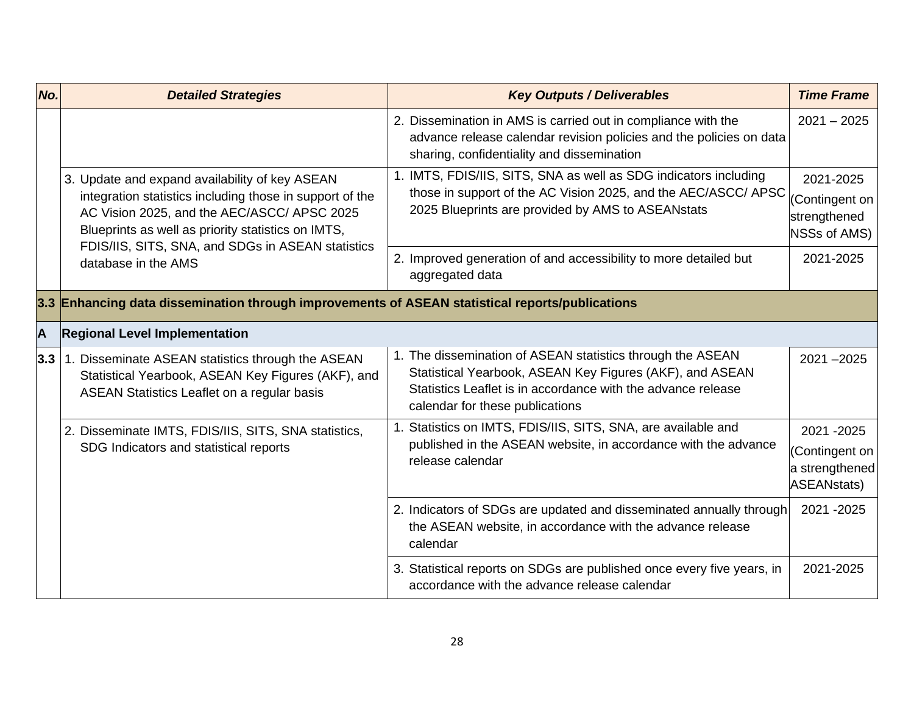| No.                     | <b>Detailed Strategies</b>                                                                                                                                                                                      | <b>Key Outputs / Deliverables</b>                                                                                                                                                                                         | <b>Time Frame</b>                                          |
|-------------------------|-----------------------------------------------------------------------------------------------------------------------------------------------------------------------------------------------------------------|---------------------------------------------------------------------------------------------------------------------------------------------------------------------------------------------------------------------------|------------------------------------------------------------|
|                         |                                                                                                                                                                                                                 | 2. Dissemination in AMS is carried out in compliance with the<br>advance release calendar revision policies and the policies on data<br>sharing, confidentiality and dissemination                                        | $2021 - 2025$                                              |
|                         | 3. Update and expand availability of key ASEAN<br>integration statistics including those in support of the<br>AC Vision 2025, and the AEC/ASCC/ APSC 2025<br>Blueprints as well as priority statistics on IMTS, | 1. IMTS, FDIS/IIS, SITS, SNA as well as SDG indicators including<br>those in support of the AC Vision 2025, and the AEC/ASCC/ APSC<br>2025 Blueprints are provided by AMS to ASEANstats                                   | 2021-2025<br>Contingent on<br>strengthened<br>NSSs of AMS) |
|                         | FDIS/IIS, SITS, SNA, and SDGs in ASEAN statistics<br>database in the AMS                                                                                                                                        | 2. Improved generation of and accessibility to more detailed but<br>aggregated data                                                                                                                                       | 2021-2025                                                  |
|                         | 3.3 Enhancing data dissemination through improvements of ASEAN statistical reports/publications                                                                                                                 |                                                                                                                                                                                                                           |                                                            |
| $\overline{\mathsf{A}}$ | <b>Regional Level Implementation</b>                                                                                                                                                                            |                                                                                                                                                                                                                           |                                                            |
| 3.3                     | 1. Disseminate ASEAN statistics through the ASEAN<br>Statistical Yearbook, ASEAN Key Figures (AKF), and<br>ASEAN Statistics Leaflet on a regular basis                                                          | 1. The dissemination of ASEAN statistics through the ASEAN<br>Statistical Yearbook, ASEAN Key Figures (AKF), and ASEAN<br>Statistics Leaflet is in accordance with the advance release<br>calendar for these publications | $2021 - 2025$                                              |
|                         | 2. Disseminate IMTS, FDIS/IIS, SITS, SNA statistics,                                                                                                                                                            | 1. Statistics on IMTS, FDIS/IIS, SITS, SNA, are available and                                                                                                                                                             | 2021-2025                                                  |
|                         | SDG Indicators and statistical reports                                                                                                                                                                          | published in the ASEAN website, in accordance with the advance<br>release calendar                                                                                                                                        | (Contingent on<br>a strengthened<br>ASEANstats)            |
|                         |                                                                                                                                                                                                                 | 2. Indicators of SDGs are updated and disseminated annually through<br>the ASEAN website, in accordance with the advance release<br>calendar                                                                              | 2021 - 2025                                                |
|                         |                                                                                                                                                                                                                 | 3. Statistical reports on SDGs are published once every five years, in<br>accordance with the advance release calendar                                                                                                    | 2021-2025                                                  |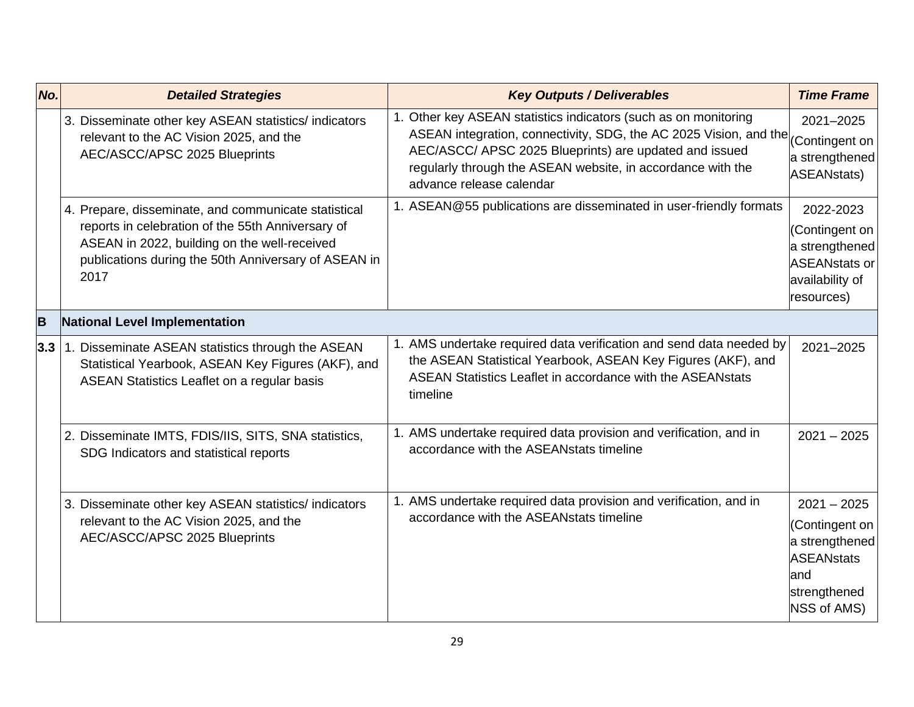| No. | <b>Detailed Strategies</b>                                                                                                                                                                                                | <b>Key Outputs / Deliverables</b>                                                                                                                                                                                                                                                         | <b>Time Frame</b>                                                                                            |
|-----|---------------------------------------------------------------------------------------------------------------------------------------------------------------------------------------------------------------------------|-------------------------------------------------------------------------------------------------------------------------------------------------------------------------------------------------------------------------------------------------------------------------------------------|--------------------------------------------------------------------------------------------------------------|
|     | 3. Disseminate other key ASEAN statistics/indicators<br>relevant to the AC Vision 2025, and the<br>AEC/ASCC/APSC 2025 Blueprints                                                                                          | 1. Other key ASEAN statistics indicators (such as on monitoring<br>ASEAN integration, connectivity, SDG, the AC 2025 Vision, and the<br>AEC/ASCC/ APSC 2025 Blueprints) are updated and issued<br>regularly through the ASEAN website, in accordance with the<br>advance release calendar | 2021-2025<br>(Contingent on<br>a strengthened<br>ASEANstats)                                                 |
|     | 4. Prepare, disseminate, and communicate statistical<br>reports in celebration of the 55th Anniversary of<br>ASEAN in 2022, building on the well-received<br>publications during the 50th Anniversary of ASEAN in<br>2017 | 1. ASEAN@55 publications are disseminated in user-friendly formats                                                                                                                                                                                                                        | 2022-2023<br>(Contingent on<br>a strengthened<br><b>ASEANstats or</b><br>availability of<br>resources)       |
| B   | National Level Implementation                                                                                                                                                                                             |                                                                                                                                                                                                                                                                                           |                                                                                                              |
| 3.3 | 1. Disseminate ASEAN statistics through the ASEAN<br>Statistical Yearbook, ASEAN Key Figures (AKF), and<br>ASEAN Statistics Leaflet on a regular basis                                                                    | 1. AMS undertake required data verification and send data needed by<br>the ASEAN Statistical Yearbook, ASEAN Key Figures (AKF), and<br>ASEAN Statistics Leaflet in accordance with the ASEANstats<br>timeline                                                                             | 2021-2025                                                                                                    |
|     | 2. Disseminate IMTS, FDIS/IIS, SITS, SNA statistics,<br>SDG Indicators and statistical reports                                                                                                                            | 1. AMS undertake required data provision and verification, and in<br>accordance with the ASEANstats timeline                                                                                                                                                                              | $2021 - 2025$                                                                                                |
|     | 3. Disseminate other key ASEAN statistics/indicators<br>relevant to the AC Vision 2025, and the<br>AEC/ASCC/APSC 2025 Blueprints                                                                                          | 1. AMS undertake required data provision and verification, and in<br>accordance with the ASEANstats timeline                                                                                                                                                                              | $2021 - 2025$<br>(Contingent on<br>a strengthened<br><b>ASEANstats</b><br>and<br>strengthened<br>NSS of AMS) |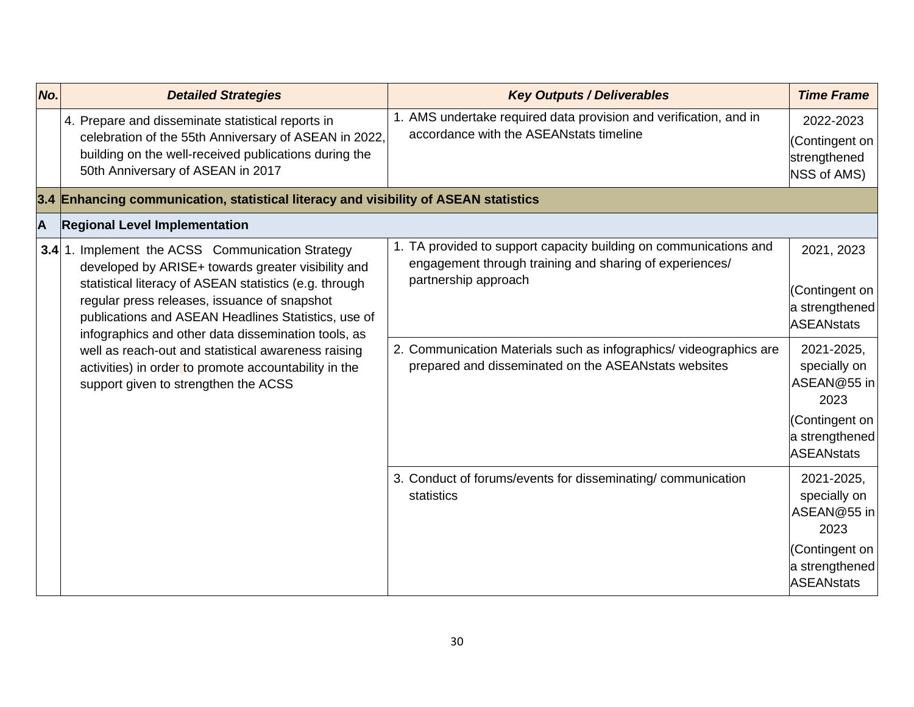| No. | <b>Detailed Strategies</b>                                                                                                                                                                                                                                                                                                                                                                                                                                                             | <b>Key Outputs / Deliverables</b>                                                                                                                                                                                                                                                 | <b>Time Frame</b>                                                                                                                                                                 |
|-----|----------------------------------------------------------------------------------------------------------------------------------------------------------------------------------------------------------------------------------------------------------------------------------------------------------------------------------------------------------------------------------------------------------------------------------------------------------------------------------------|-----------------------------------------------------------------------------------------------------------------------------------------------------------------------------------------------------------------------------------------------------------------------------------|-----------------------------------------------------------------------------------------------------------------------------------------------------------------------------------|
|     | 4. Prepare and disseminate statistical reports in<br>celebration of the 55th Anniversary of ASEAN in 2022,<br>building on the well-received publications during the<br>50th Anniversary of ASEAN in 2017                                                                                                                                                                                                                                                                               | 1. AMS undertake required data provision and verification, and in<br>accordance with the ASEANstats timeline                                                                                                                                                                      | 2022-2023<br>(Contingent on<br>strengthened<br>NSS of AMS)                                                                                                                        |
|     | 3.4 Enhancing communication, statistical literacy and visibility of ASEAN statistics                                                                                                                                                                                                                                                                                                                                                                                                   |                                                                                                                                                                                                                                                                                   |                                                                                                                                                                                   |
| A   | <b>Regional Level Implementation</b>                                                                                                                                                                                                                                                                                                                                                                                                                                                   |                                                                                                                                                                                                                                                                                   |                                                                                                                                                                                   |
|     | 3.4 1. Implement the ACSS Communication Strategy<br>developed by ARISE+ towards greater visibility and<br>statistical literacy of ASEAN statistics (e.g. through<br>regular press releases, issuance of snapshot<br>publications and ASEAN Headlines Statistics, use of<br>infographics and other data dissemination tools, as<br>well as reach-out and statistical awareness raising<br>activities) in order to promote accountability in the<br>support given to strengthen the ACSS | 1. TA provided to support capacity building on communications and<br>engagement through training and sharing of experiences/<br>partnership approach<br>2. Communication Materials such as infographics/videographics are<br>prepared and disseminated on the ASEANstats websites | 2021, 2023<br>(Contingent on<br>a strengthened<br><b>ASEANstats</b><br>2021-2025,<br>specially on<br>ASEAN@55 in<br>2023<br>(Contingent on<br>a strengthened<br><b>ASEANstats</b> |
|     |                                                                                                                                                                                                                                                                                                                                                                                                                                                                                        | 3. Conduct of forums/events for disseminating/communication<br>statistics                                                                                                                                                                                                         | 2021-2025,<br>specially on<br>ASEAN@55 in<br>2023<br>(Contingent on<br>a strengthened<br><b>ASEANstats</b>                                                                        |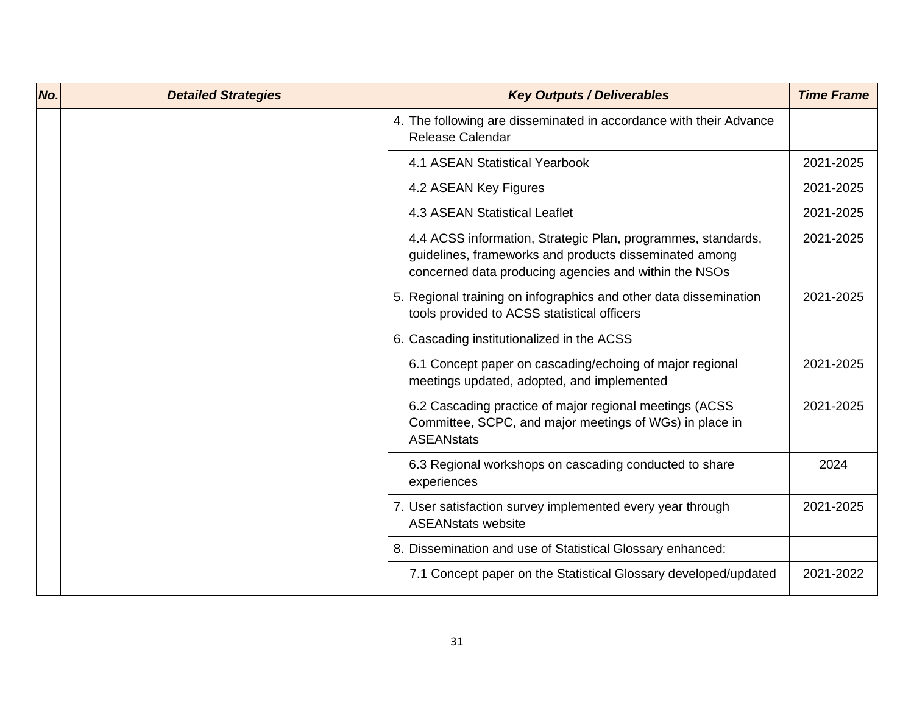| No. | <b>Detailed Strategies</b> | <b>Key Outputs / Deliverables</b>                                                                                                                                               | <b>Time Frame</b> |
|-----|----------------------------|---------------------------------------------------------------------------------------------------------------------------------------------------------------------------------|-------------------|
|     |                            | 4. The following are disseminated in accordance with their Advance<br><b>Release Calendar</b>                                                                                   |                   |
|     |                            | <b>4.1 ASEAN Statistical Yearbook</b>                                                                                                                                           | 2021-2025         |
|     |                            | 4.2 ASEAN Key Figures                                                                                                                                                           | 2021-2025         |
|     |                            | 4.3 ASEAN Statistical Leaflet                                                                                                                                                   | 2021-2025         |
|     |                            | 4.4 ACSS information, Strategic Plan, programmes, standards,<br>guidelines, frameworks and products disseminated among<br>concerned data producing agencies and within the NSOs | 2021-2025         |
|     |                            | 5. Regional training on infographics and other data dissemination<br>tools provided to ACSS statistical officers                                                                | 2021-2025         |
|     |                            | 6. Cascading institutionalized in the ACSS                                                                                                                                      |                   |
|     |                            | 6.1 Concept paper on cascading/echoing of major regional<br>meetings updated, adopted, and implemented                                                                          | 2021-2025         |
|     |                            | 6.2 Cascading practice of major regional meetings (ACSS<br>Committee, SCPC, and major meetings of WGs) in place in<br><b>ASEANstats</b>                                         | 2021-2025         |
|     |                            | 6.3 Regional workshops on cascading conducted to share<br>experiences                                                                                                           | 2024              |
|     |                            | 7. User satisfaction survey implemented every year through<br><b>ASEANstats website</b>                                                                                         | 2021-2025         |
|     |                            | 8. Dissemination and use of Statistical Glossary enhanced:                                                                                                                      |                   |
|     |                            | 7.1 Concept paper on the Statistical Glossary developed/updated                                                                                                                 | 2021-2022         |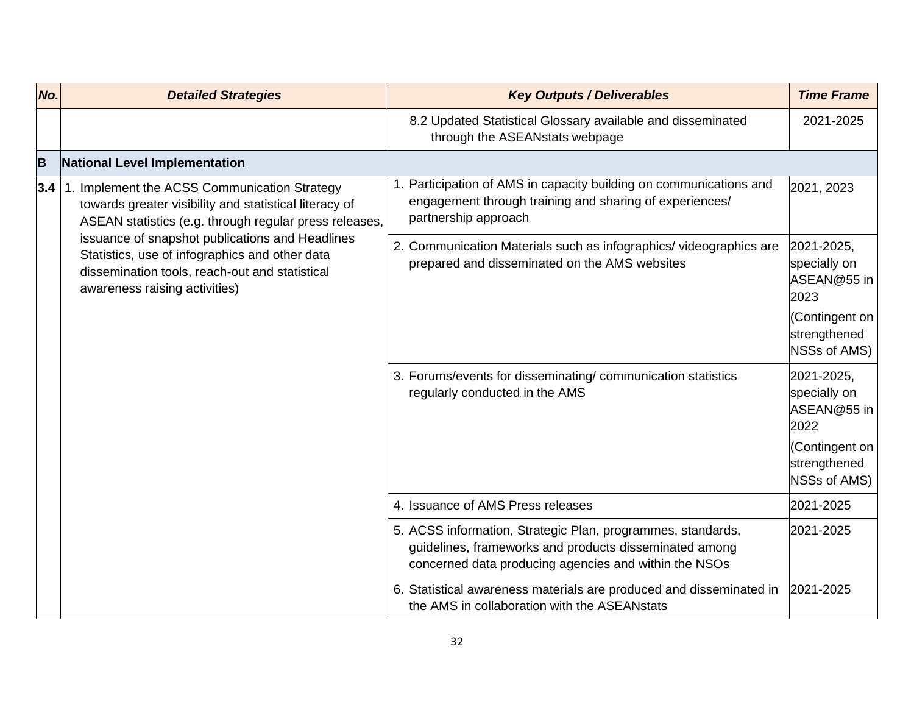| No. | <b>Detailed Strategies</b>                                                                                                                                                                                                                                                                                                                               | <b>Key Outputs / Deliverables</b>                                                                                                                                              | <b>Time Frame</b>                                 |
|-----|----------------------------------------------------------------------------------------------------------------------------------------------------------------------------------------------------------------------------------------------------------------------------------------------------------------------------------------------------------|--------------------------------------------------------------------------------------------------------------------------------------------------------------------------------|---------------------------------------------------|
|     |                                                                                                                                                                                                                                                                                                                                                          | 8.2 Updated Statistical Glossary available and disseminated<br>through the ASEANstats webpage                                                                                  | 2021-2025                                         |
| B   | <b>National Level Implementation</b>                                                                                                                                                                                                                                                                                                                     |                                                                                                                                                                                |                                                   |
| 3.4 | 1. Implement the ACSS Communication Strategy<br>towards greater visibility and statistical literacy of<br>ASEAN statistics (e.g. through regular press releases,<br>issuance of snapshot publications and Headlines<br>Statistics, use of infographics and other data<br>dissemination tools, reach-out and statistical<br>awareness raising activities) | 1. Participation of AMS in capacity building on communications and<br>engagement through training and sharing of experiences/<br>partnership approach                          | 2021, 2023                                        |
|     |                                                                                                                                                                                                                                                                                                                                                          | 2. Communication Materials such as infographics/videographics are<br>prepared and disseminated on the AMS websites                                                             | 2021-2025,<br>specially on<br>ASEAN@55 in<br>2023 |
|     |                                                                                                                                                                                                                                                                                                                                                          |                                                                                                                                                                                | (Contingent on<br>strengthened<br>NSSs of AMS)    |
|     |                                                                                                                                                                                                                                                                                                                                                          | 3. Forums/events for disseminating/communication statistics<br>regularly conducted in the AMS                                                                                  | 2021-2025,<br>specially on<br>ASEAN@55 in<br>2022 |
|     |                                                                                                                                                                                                                                                                                                                                                          |                                                                                                                                                                                | Contingent on<br>strengthened<br>NSSs of AMS)     |
|     |                                                                                                                                                                                                                                                                                                                                                          | 4. Issuance of AMS Press releases                                                                                                                                              | 2021-2025                                         |
|     |                                                                                                                                                                                                                                                                                                                                                          | 5. ACSS information, Strategic Plan, programmes, standards,<br>guidelines, frameworks and products disseminated among<br>concerned data producing agencies and within the NSOs | 2021-2025                                         |
|     |                                                                                                                                                                                                                                                                                                                                                          | 6. Statistical awareness materials are produced and disseminated in<br>the AMS in collaboration with the ASEANstats                                                            | 2021-2025                                         |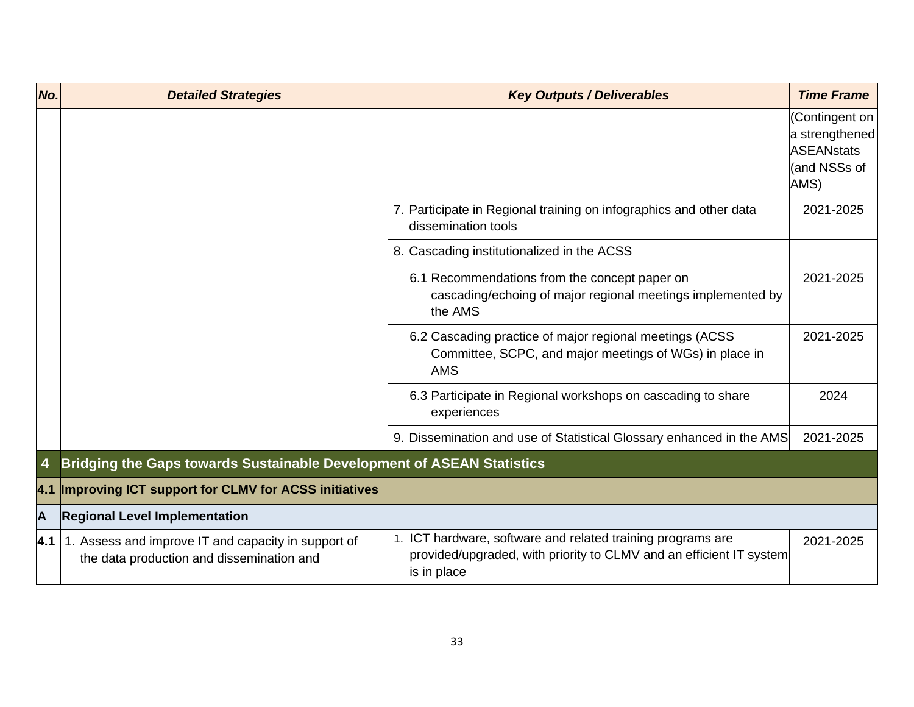| No.            | <b>Detailed Strategies</b>                                                                       | <b>Key Outputs / Deliverables</b>                                                                                                                 | <b>Time Frame</b>                                                             |
|----------------|--------------------------------------------------------------------------------------------------|---------------------------------------------------------------------------------------------------------------------------------------------------|-------------------------------------------------------------------------------|
|                |                                                                                                  |                                                                                                                                                   | (Contingent on<br>a strengthened<br><b>ASEANstats</b><br>(and NSSs of<br>AMS) |
|                |                                                                                                  | 7. Participate in Regional training on infographics and other data<br>dissemination tools                                                         | 2021-2025                                                                     |
|                |                                                                                                  | 8. Cascading institutionalized in the ACSS                                                                                                        |                                                                               |
|                |                                                                                                  | 6.1 Recommendations from the concept paper on<br>cascading/echoing of major regional meetings implemented by<br>the AMS                           | 2021-2025                                                                     |
|                |                                                                                                  | 6.2 Cascading practice of major regional meetings (ACSS<br>Committee, SCPC, and major meetings of WGs) in place in<br><b>AMS</b>                  | 2021-2025                                                                     |
|                |                                                                                                  | 6.3 Participate in Regional workshops on cascading to share<br>experiences                                                                        | 2024                                                                          |
|                |                                                                                                  | 9. Dissemination and use of Statistical Glossary enhanced in the AMS                                                                              | 2021-2025                                                                     |
| $\overline{4}$ | <b>Bridging the Gaps towards Sustainable Development of ASEAN Statistics</b>                     |                                                                                                                                                   |                                                                               |
| 4.1            | <b>Improving ICT support for CLMV for ACSS initiatives</b>                                       |                                                                                                                                                   |                                                                               |
| A              | <b>Regional Level Implementation</b>                                                             |                                                                                                                                                   |                                                                               |
| 4.1            | 1. Assess and improve IT and capacity in support of<br>the data production and dissemination and | 1. ICT hardware, software and related training programs are<br>provided/upgraded, with priority to CLMV and an efficient IT system<br>is in place | 2021-2025                                                                     |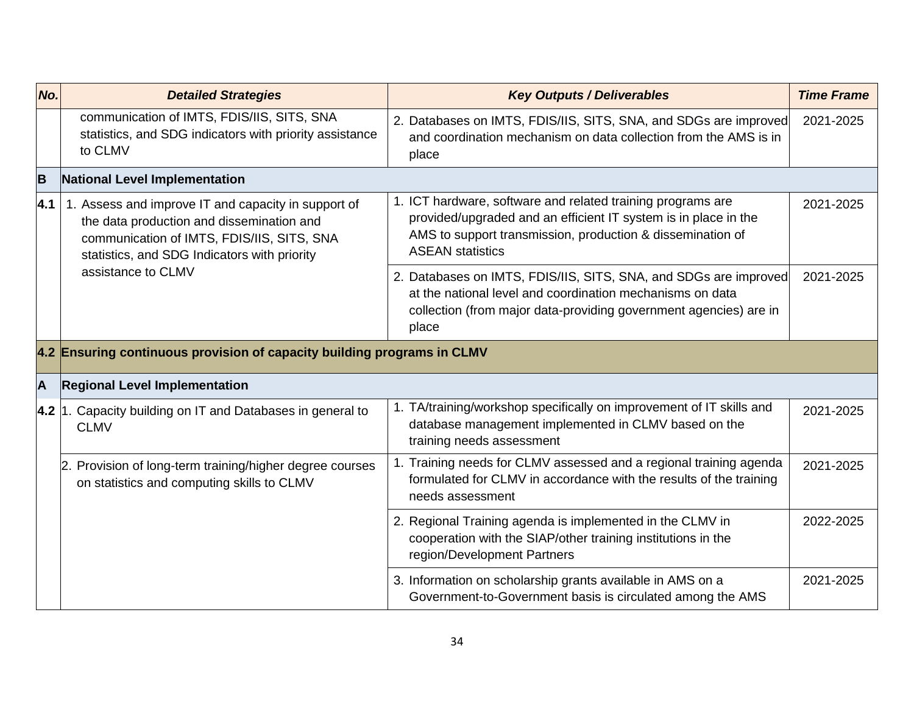| No.               | <b>Detailed Strategies</b>                                                                                                                                                                     | <b>Key Outputs / Deliverables</b>                                                                                                                                                                                       | <b>Time Frame</b> |
|-------------------|------------------------------------------------------------------------------------------------------------------------------------------------------------------------------------------------|-------------------------------------------------------------------------------------------------------------------------------------------------------------------------------------------------------------------------|-------------------|
|                   | communication of IMTS, FDIS/IIS, SITS, SNA<br>statistics, and SDG indicators with priority assistance<br>to CLMV                                                                               | 2. Databases on IMTS, FDIS/IIS, SITS, SNA, and SDGs are improved<br>and coordination mechanism on data collection from the AMS is in<br>place                                                                           | 2021-2025         |
| B                 | National Level Implementation                                                                                                                                                                  |                                                                                                                                                                                                                         |                   |
| $\vert 4.1 \vert$ | 1. Assess and improve IT and capacity in support of<br>the data production and dissemination and<br>communication of IMTS, FDIS/IIS, SITS, SNA<br>statistics, and SDG Indicators with priority | 1. ICT hardware, software and related training programs are<br>provided/upgraded and an efficient IT system is in place in the<br>AMS to support transmission, production & dissemination of<br><b>ASEAN statistics</b> | 2021-2025         |
|                   | assistance to CLMV                                                                                                                                                                             | 2. Databases on IMTS, FDIS/IIS, SITS, SNA, and SDGs are improved<br>at the national level and coordination mechanisms on data<br>collection (from major data-providing government agencies) are in<br>place             | 2021-2025         |
|                   | 4.2 Ensuring continuous provision of capacity building programs in CLMV                                                                                                                        |                                                                                                                                                                                                                         |                   |
| A                 | <b>Regional Level Implementation</b>                                                                                                                                                           |                                                                                                                                                                                                                         |                   |
|                   | 4.2 1. Capacity building on IT and Databases in general to<br><b>CLMV</b>                                                                                                                      | 1. TA/training/workshop specifically on improvement of IT skills and<br>database management implemented in CLMV based on the<br>training needs assessment                                                               | 2021-2025         |
|                   | 2. Provision of long-term training/higher degree courses<br>on statistics and computing skills to CLMV                                                                                         | 1. Training needs for CLMV assessed and a regional training agenda<br>formulated for CLMV in accordance with the results of the training<br>needs assessment                                                            | 2021-2025         |
|                   |                                                                                                                                                                                                | 2. Regional Training agenda is implemented in the CLMV in<br>cooperation with the SIAP/other training institutions in the<br>region/Development Partners                                                                | 2022-2025         |
|                   |                                                                                                                                                                                                | 3. Information on scholarship grants available in AMS on a<br>Government-to-Government basis is circulated among the AMS                                                                                                | 2021-2025         |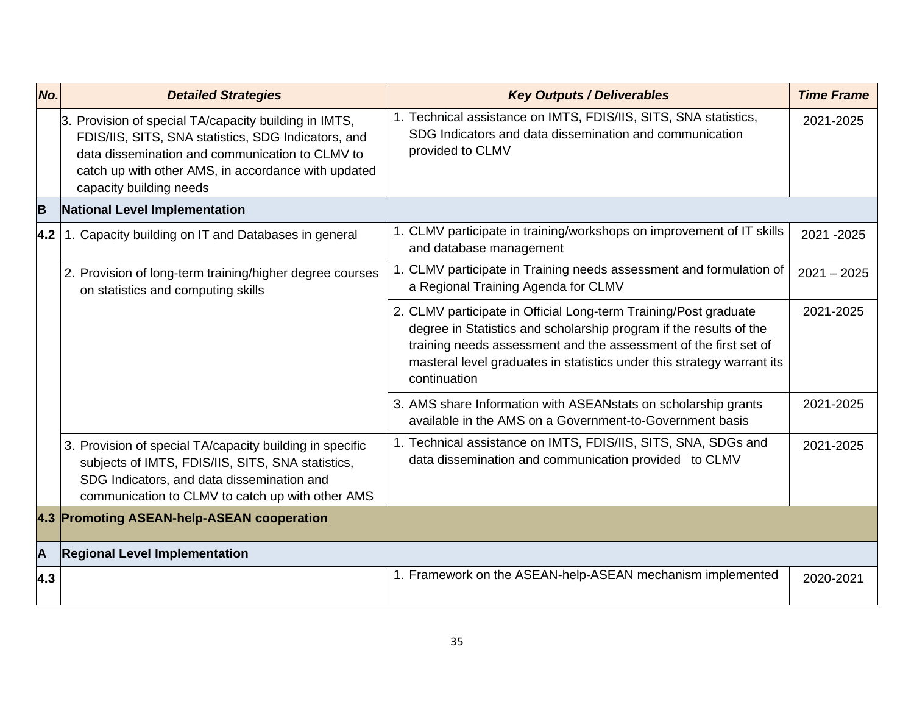| No.                     | <b>Detailed Strategies</b>                                                                                                                                                                                                                        | <b>Key Outputs / Deliverables</b>                                                                                                                                                                                                                                                                    | <b>Time Frame</b> |
|-------------------------|---------------------------------------------------------------------------------------------------------------------------------------------------------------------------------------------------------------------------------------------------|------------------------------------------------------------------------------------------------------------------------------------------------------------------------------------------------------------------------------------------------------------------------------------------------------|-------------------|
|                         | 3. Provision of special TA/capacity building in IMTS,<br>FDIS/IIS, SITS, SNA statistics, SDG Indicators, and<br>data dissemination and communication to CLMV to<br>catch up with other AMS, in accordance with updated<br>capacity building needs | 1. Technical assistance on IMTS, FDIS/IIS, SITS, SNA statistics,<br>SDG Indicators and data dissemination and communication<br>provided to CLMV                                                                                                                                                      | 2021-2025         |
| B                       | <b>National Level Implementation</b>                                                                                                                                                                                                              |                                                                                                                                                                                                                                                                                                      |                   |
| 4.2                     | 1. Capacity building on IT and Databases in general                                                                                                                                                                                               | 1. CLMV participate in training/workshops on improvement of IT skills<br>and database management                                                                                                                                                                                                     | 2021-2025         |
|                         | 2. Provision of long-term training/higher degree courses<br>on statistics and computing skills                                                                                                                                                    | 1. CLMV participate in Training needs assessment and formulation of<br>a Regional Training Agenda for CLMV                                                                                                                                                                                           | $2021 - 2025$     |
|                         |                                                                                                                                                                                                                                                   | 2. CLMV participate in Official Long-term Training/Post graduate<br>degree in Statistics and scholarship program if the results of the<br>training needs assessment and the assessment of the first set of<br>masteral level graduates in statistics under this strategy warrant its<br>continuation | 2021-2025         |
|                         |                                                                                                                                                                                                                                                   | 3. AMS share Information with ASEANstats on scholarship grants<br>available in the AMS on a Government-to-Government basis                                                                                                                                                                           | 2021-2025         |
|                         | 3. Provision of special TA/capacity building in specific<br>subjects of IMTS, FDIS/IIS, SITS, SNA statistics,<br>SDG Indicators, and data dissemination and<br>communication to CLMV to catch up with other AMS                                   | 1. Technical assistance on IMTS, FDIS/IIS, SITS, SNA, SDGs and<br>data dissemination and communication provided to CLMV                                                                                                                                                                              | 2021-2025         |
|                         | 4.3 Promoting ASEAN-help-ASEAN cooperation                                                                                                                                                                                                        |                                                                                                                                                                                                                                                                                                      |                   |
| $\overline{\mathsf{A}}$ | <b>Regional Level Implementation</b>                                                                                                                                                                                                              |                                                                                                                                                                                                                                                                                                      |                   |
| 4.3                     |                                                                                                                                                                                                                                                   | 1. Framework on the ASEAN-help-ASEAN mechanism implemented                                                                                                                                                                                                                                           | 2020-2021         |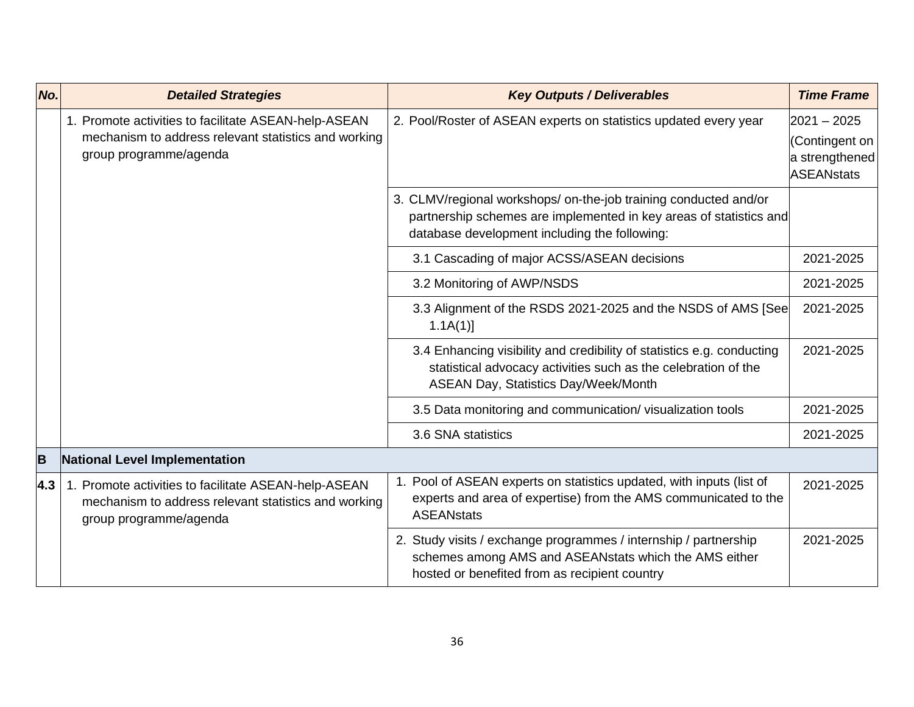| No. | <b>Detailed Strategies</b>                                                                                                             | <b>Key Outputs / Deliverables</b>                                                                                                                                                       | <b>Time Frame</b>                                                      |
|-----|----------------------------------------------------------------------------------------------------------------------------------------|-----------------------------------------------------------------------------------------------------------------------------------------------------------------------------------------|------------------------------------------------------------------------|
|     | 1. Promote activities to facilitate ASEAN-help-ASEAN<br>mechanism to address relevant statistics and working<br>group programme/agenda | 2. Pool/Roster of ASEAN experts on statistics updated every year                                                                                                                        | $2021 - 2025$<br>(Contingent on<br>a strengthened<br><b>ASEANstats</b> |
|     |                                                                                                                                        | 3. CLMV/regional workshops/ on-the-job training conducted and/or<br>partnership schemes are implemented in key areas of statistics and<br>database development including the following: |                                                                        |
|     |                                                                                                                                        | 3.1 Cascading of major ACSS/ASEAN decisions                                                                                                                                             | 2021-2025                                                              |
|     |                                                                                                                                        | 3.2 Monitoring of AWP/NSDS                                                                                                                                                              | 2021-2025                                                              |
|     |                                                                                                                                        | 3.3 Alignment of the RSDS 2021-2025 and the NSDS of AMS [See<br>$1.1A(1)$ ]                                                                                                             | 2021-2025                                                              |
|     |                                                                                                                                        | 3.4 Enhancing visibility and credibility of statistics e.g. conducting<br>statistical advocacy activities such as the celebration of the<br>ASEAN Day, Statistics Day/Week/Month        | 2021-2025                                                              |
|     |                                                                                                                                        | 3.5 Data monitoring and communication/visualization tools                                                                                                                               | 2021-2025                                                              |
|     |                                                                                                                                        | 3.6 SNA statistics                                                                                                                                                                      | 2021-2025                                                              |
| B   | National Level Implementation                                                                                                          |                                                                                                                                                                                         |                                                                        |
| 4.3 | 1. Promote activities to facilitate ASEAN-help-ASEAN<br>mechanism to address relevant statistics and working<br>group programme/agenda | 1. Pool of ASEAN experts on statistics updated, with inputs (list of<br>experts and area of expertise) from the AMS communicated to the<br><b>ASEANstats</b>                            | 2021-2025                                                              |
|     |                                                                                                                                        | 2. Study visits / exchange programmes / internship / partnership<br>schemes among AMS and ASEANstats which the AMS either<br>hosted or benefited from as recipient country              | 2021-2025                                                              |